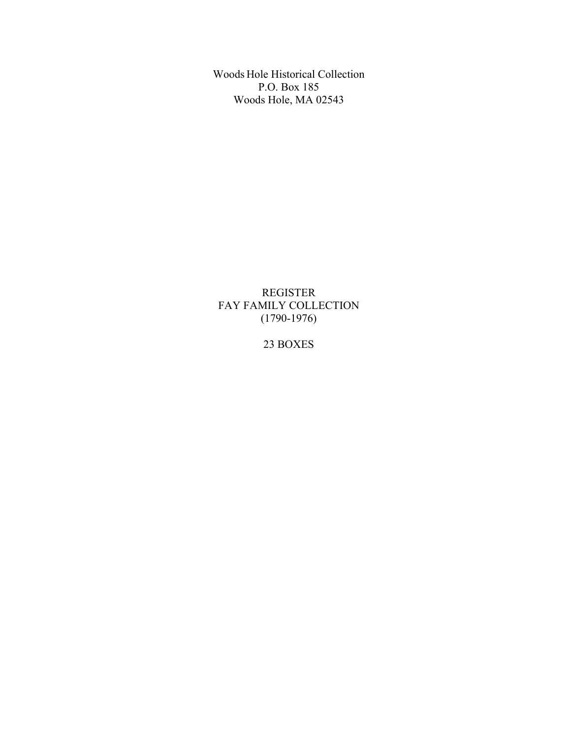Woods Hole Historical Collection P.O. Box 185 Woods Hole, MA 02543

REGISTER FAY FAMILY COLLECTION (1790-1976)

## 23 BOXES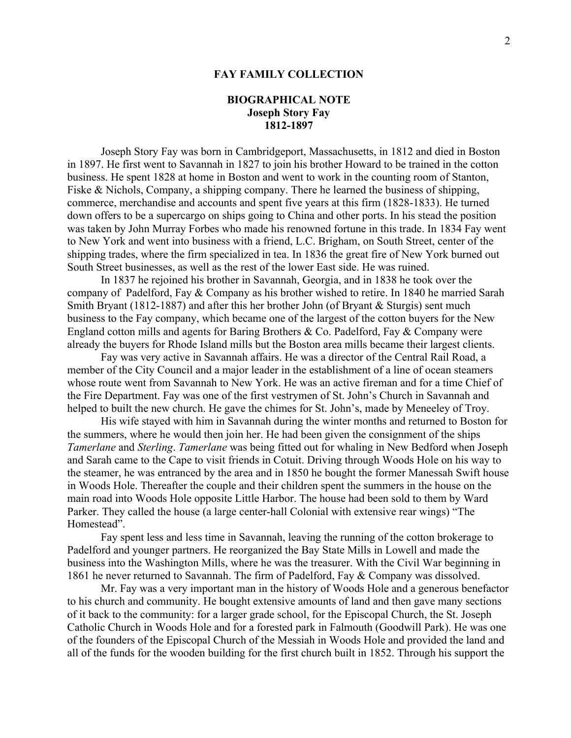### **BIOGRAPHICAL NOTE Joseph Story Fay 1812-1897**

Joseph Story Fay was born in Cambridgeport, Massachusetts, in 1812 and died in Boston in 1897. He first went to Savannah in 1827 to join his brother Howard to be trained in the cotton business. He spent 1828 at home in Boston and went to work in the counting room of Stanton, Fiske & Nichols, Company, a shipping company. There he learned the business of shipping, commerce, merchandise and accounts and spent five years at this firm (1828-1833). He turned down offers to be a supercargo on ships going to China and other ports. In his stead the position was taken by John Murray Forbes who made his renowned fortune in this trade. In 1834 Fay went to New York and went into business with a friend, L.C. Brigham, on South Street, center of the shipping trades, where the firm specialized in tea. In 1836 the great fire of New York burned out South Street businesses, as well as the rest of the lower East side. He was ruined.

In 1837 he rejoined his brother in Savannah, Georgia, and in 1838 he took over the company of Padelford, Fay & Company as his brother wished to retire. In 1840 he married Sarah Smith Bryant (1812-1887) and after this her brother John (of Bryant & Sturgis) sent much business to the Fay company, which became one of the largest of the cotton buyers for the New England cotton mills and agents for Baring Brothers & Co. Padelford, Fay & Company were already the buyers for Rhode Island mills but the Boston area mills became their largest clients.

Fay was very active in Savannah affairs. He was a director of the Central Rail Road, a member of the City Council and a major leader in the establishment of a line of ocean steamers whose route went from Savannah to New York. He was an active fireman and for a time Chief of the Fire Department. Fay was one of the first vestrymen of St. John's Church in Savannah and helped to built the new church. He gave the chimes for St. John's, made by Meneeley of Troy.

His wife stayed with him in Savannah during the winter months and returned to Boston for the summers, where he would then join her. He had been given the consignment of the ships *Tamerlane* and *Sterling*. *Tamerlane* was being fitted out for whaling in New Bedford when Joseph and Sarah came to the Cape to visit friends in Cotuit. Driving through Woods Hole on his way to the steamer, he was entranced by the area and in 1850 he bought the former Manessah Swift house in Woods Hole. Thereafter the couple and their children spent the summers in the house on the main road into Woods Hole opposite Little Harbor. The house had been sold to them by Ward Parker. They called the house (a large center-hall Colonial with extensive rear wings) "The Homestead".

Fay spent less and less time in Savannah, leaving the running of the cotton brokerage to Padelford and younger partners. He reorganized the Bay State Mills in Lowell and made the business into the Washington Mills, where he was the treasurer. With the Civil War beginning in 1861 he never returned to Savannah. The firm of Padelford, Fay & Company was dissolved.

Mr. Fay was a very important man in the history of Woods Hole and a generous benefactor to his church and community. He bought extensive amounts of land and then gave many sections of it back to the community: for a larger grade school, for the Episcopal Church, the St. Joseph Catholic Church in Woods Hole and for a forested park in Falmouth (Goodwill Park). He was one of the founders of the Episcopal Church of the Messiah in Woods Hole and provided the land and all of the funds for the wooden building for the first church built in 1852. Through his support the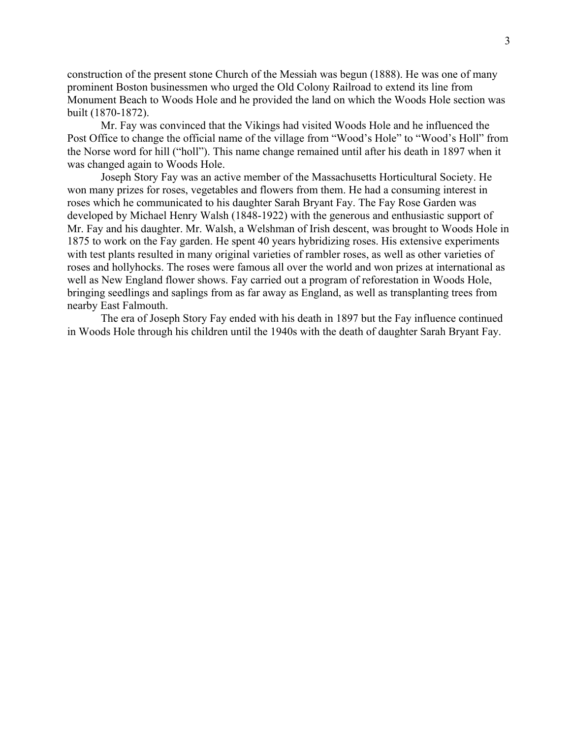construction of the present stone Church of the Messiah was begun (1888). He was one of many prominent Boston businessmen who urged the Old Colony Railroad to extend its line from Monument Beach to Woods Hole and he provided the land on which the Woods Hole section was built (1870-1872).

Mr. Fay was convinced that the Vikings had visited Woods Hole and he influenced the Post Office to change the official name of the village from "Wood's Hole" to "Wood's Holl" from the Norse word for hill ("holl"). This name change remained until after his death in 1897 when it was changed again to Woods Hole.

Joseph Story Fay was an active member of the Massachusetts Horticultural Society. He won many prizes for roses, vegetables and flowers from them. He had a consuming interest in roses which he communicated to his daughter Sarah Bryant Fay. The Fay Rose Garden was developed by Michael Henry Walsh (1848-1922) with the generous and enthusiastic support of Mr. Fay and his daughter. Mr. Walsh, a Welshman of Irish descent, was brought to Woods Hole in 1875 to work on the Fay garden. He spent 40 years hybridizing roses. His extensive experiments with test plants resulted in many original varieties of rambler roses, as well as other varieties of roses and hollyhocks. The roses were famous all over the world and won prizes at international as well as New England flower shows. Fay carried out a program of reforestation in Woods Hole, bringing seedlings and saplings from as far away as England, as well as transplanting trees from nearby East Falmouth.

The era of Joseph Story Fay ended with his death in 1897 but the Fay influence continued in Woods Hole through his children until the 1940s with the death of daughter Sarah Bryant Fay.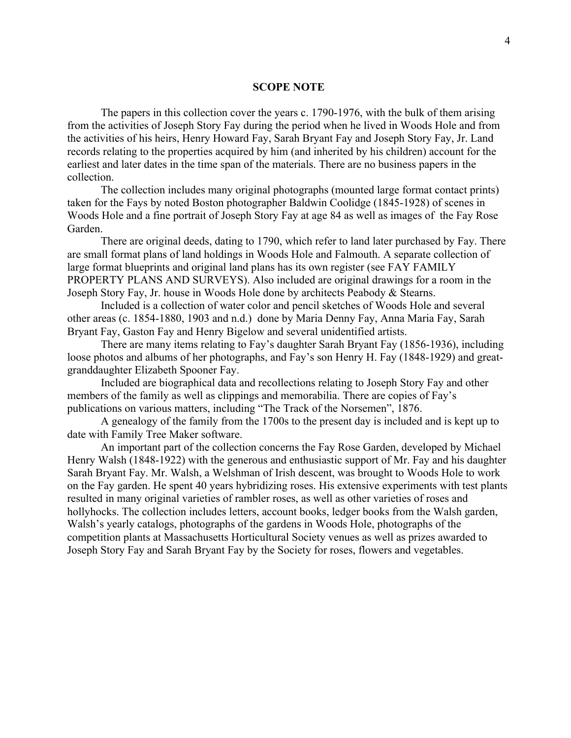#### **SCOPE NOTE**

The papers in this collection cover the years c. 1790-1976, with the bulk of them arising from the activities of Joseph Story Fay during the period when he lived in Woods Hole and from the activities of his heirs, Henry Howard Fay, Sarah Bryant Fay and Joseph Story Fay, Jr. Land records relating to the properties acquired by him (and inherited by his children) account for the earliest and later dates in the time span of the materials. There are no business papers in the collection.

The collection includes many original photographs (mounted large format contact prints) taken for the Fays by noted Boston photographer Baldwin Coolidge (1845-1928) of scenes in Woods Hole and a fine portrait of Joseph Story Fay at age 84 as well as images of the Fay Rose Garden.

There are original deeds, dating to 1790, which refer to land later purchased by Fay. There are small format plans of land holdings in Woods Hole and Falmouth. A separate collection of large format blueprints and original land plans has its own register (see FAY FAMILY PROPERTY PLANS AND SURVEYS). Also included are original drawings for a room in the Joseph Story Fay, Jr. house in Woods Hole done by architects Peabody & Stearns.

Included is a collection of water color and pencil sketches of Woods Hole and several other areas (c. 1854-1880, 1903 and n.d.) done by Maria Denny Fay, Anna Maria Fay, Sarah Bryant Fay, Gaston Fay and Henry Bigelow and several unidentified artists.

There are many items relating to Fay's daughter Sarah Bryant Fay (1856-1936), including loose photos and albums of her photographs, and Fay's son Henry H. Fay (1848-1929) and greatgranddaughter Elizabeth Spooner Fay.

Included are biographical data and recollections relating to Joseph Story Fay and other members of the family as well as clippings and memorabilia. There are copies of Fay's publications on various matters, including "The Track of the Norsemen", 1876.

A genealogy of the family from the 1700s to the present day is included and is kept up to date with Family Tree Maker software.

An important part of the collection concerns the Fay Rose Garden, developed by Michael Henry Walsh (1848-1922) with the generous and enthusiastic support of Mr. Fay and his daughter Sarah Bryant Fay. Mr. Walsh, a Welshman of Irish descent, was brought to Woods Hole to work on the Fay garden. He spent 40 years hybridizing roses. His extensive experiments with test plants resulted in many original varieties of rambler roses, as well as other varieties of roses and hollyhocks. The collection includes letters, account books, ledger books from the Walsh garden, Walsh's yearly catalogs, photographs of the gardens in Woods Hole, photographs of the competition plants at Massachusetts Horticultural Society venues as well as prizes awarded to Joseph Story Fay and Sarah Bryant Fay by the Society for roses, flowers and vegetables.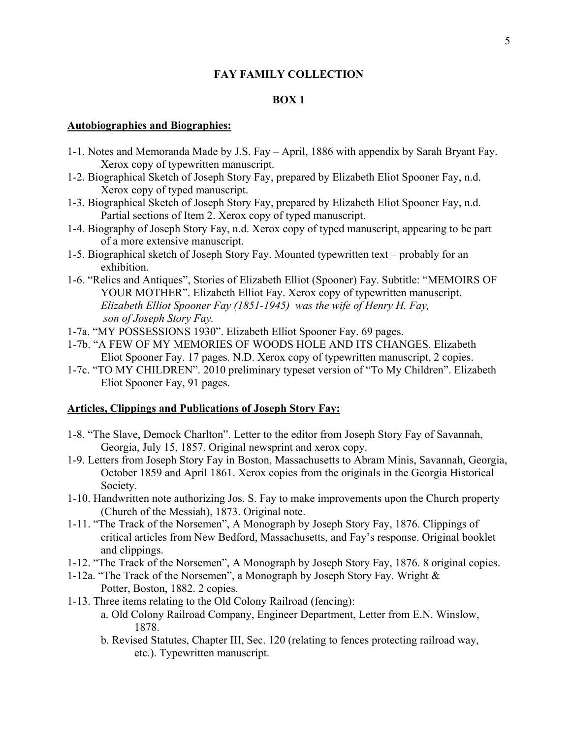### **BOX 1**

### **Autobiographies and Biographies:**

- 1-1. Notes and Memoranda Made by J.S. Fay April, 1886 with appendix by Sarah Bryant Fay. Xerox copy of typewritten manuscript.
- 1-2. Biographical Sketch of Joseph Story Fay, prepared by Elizabeth Eliot Spooner Fay, n.d. Xerox copy of typed manuscript.
- 1-3. Biographical Sketch of Joseph Story Fay, prepared by Elizabeth Eliot Spooner Fay, n.d. Partial sections of Item 2. Xerox copy of typed manuscript.
- 1-4. Biography of Joseph Story Fay, n.d. Xerox copy of typed manuscript, appearing to be part of a more extensive manuscript.
- 1-5. Biographical sketch of Joseph Story Fay. Mounted typewritten text probably for an exhibition.
- 1-6. "Relics and Antiques", Stories of Elizabeth Elliot (Spooner) Fay. Subtitle: "MEMOIRS OF YOUR MOTHER". Elizabeth Elliot Fay. Xerox copy of typewritten manuscript. *Elizabeth Elliot Spooner Fay (1851-1945) was the wife of Henry H. Fay, son of Joseph Story Fay.*
- 1-7a. "MY POSSESSIONS 1930". Elizabeth Elliot Spooner Fay. 69 pages.
- 1-7b. "A FEW OF MY MEMORIES OF WOODS HOLE AND ITS CHANGES. Elizabeth Eliot Spooner Fay. 17 pages. N.D. Xerox copy of typewritten manuscript, 2 copies.
- 1-7c. "TO MY CHILDREN". 2010 preliminary typeset version of "To My Children". Elizabeth Eliot Spooner Fay, 91 pages.

#### **Articles, Clippings and Publications of Joseph Story Fay:**

- 1-8. "The Slave, Demock Charlton". Letter to the editor from Joseph Story Fay of Savannah, Georgia, July 15, 1857. Original newsprint and xerox copy.
- 1-9. Letters from Joseph Story Fay in Boston, Massachusetts to Abram Minis, Savannah, Georgia, October 1859 and April 1861. Xerox copies from the originals in the Georgia Historical Society.
- 1-10. Handwritten note authorizing Jos. S. Fay to make improvements upon the Church property (Church of the Messiah), 1873. Original note.
- 1-11. "The Track of the Norsemen", A Monograph by Joseph Story Fay, 1876. Clippings of critical articles from New Bedford, Massachusetts, and Fay's response. Original booklet and clippings.
- 1-12. "The Track of the Norsemen", A Monograph by Joseph Story Fay, 1876. 8 original copies.
- 1-12a. "The Track of the Norsemen", a Monograph by Joseph Story Fay. Wright & Potter, Boston, 1882. 2 copies.
- 1-13. Three items relating to the Old Colony Railroad (fencing):
	- a. Old Colony Railroad Company, Engineer Department, Letter from E.N. Winslow, 1878.
	- b. Revised Statutes, Chapter III, Sec. 120 (relating to fences protecting railroad way, etc.). Typewritten manuscript.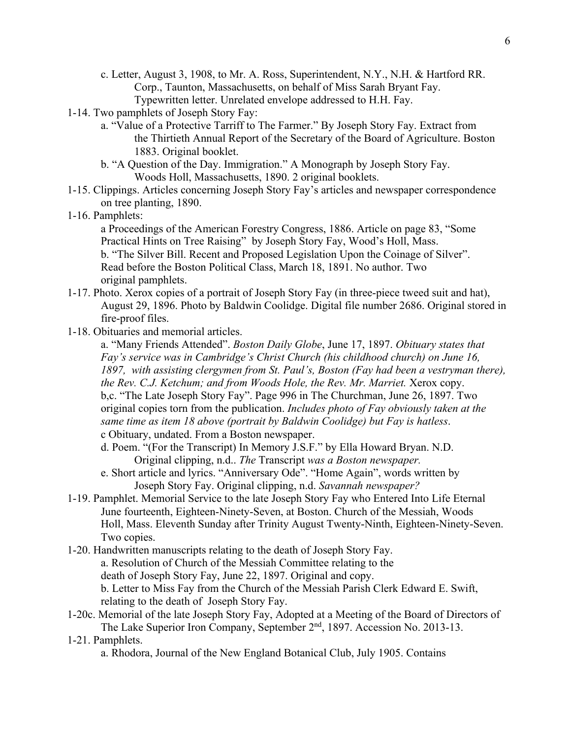- c. Letter, August 3, 1908, to Mr. A. Ross, Superintendent, N.Y., N.H. & Hartford RR. Corp., Taunton, Massachusetts, on behalf of Miss Sarah Bryant Fay. Typewritten letter. Unrelated envelope addressed to H.H. Fay.
- 1-14. Two pamphlets of Joseph Story Fay:
	- a. "Value of a Protective Tarriff to The Farmer." By Joseph Story Fay. Extract from the Thirtieth Annual Report of the Secretary of the Board of Agriculture. Boston 1883. Original booklet.
	- b. "A Question of the Day. Immigration." A Monograph by Joseph Story Fay. Woods Holl, Massachusetts, 1890. 2 original booklets.
- 1-15. Clippings. Articles concerning Joseph Story Fay's articles and newspaper correspondence on tree planting, 1890.
- 1-16. Pamphlets:

a Proceedings of the American Forestry Congress, 1886. Article on page 83, "Some Practical Hints on Tree Raising" by Joseph Story Fay, Wood's Holl, Mass. b. "The Silver Bill. Recent and Proposed Legislation Upon the Coinage of Silver". Read before the Boston Political Class, March 18, 1891. No author. Two original pamphlets.

- 1-17. Photo. Xerox copies of a portrait of Joseph Story Fay (in three-piece tweed suit and hat), August 29, 1896. Photo by Baldwin Coolidge. Digital file number 2686. Original stored in fire-proof files.
- 1-18. Obituaries and memorial articles.

a. "Many Friends Attended". *Boston Daily Globe*, June 17, 1897. *Obituary states that Fay's service was in Cambridge's Christ Church (his childhood church) on June 16, 1897, with assisting clergymen from St. Paul's, Boston (Fay had been a vestryman there), the Rev. C.J. Ketchum; and from Woods Hole, the Rev. Mr. Marriet.* Xerox copy. b,c. "The Late Joseph Story Fay". Page 996 in The Churchman, June 26, 1897. Two original copies torn from the publication. *Includes photo of Fay obviously taken at the same time as item 18 above (portrait by Baldwin Coolidge) but Fay is hatless*. c Obituary, undated. From a Boston newspaper.

d. Poem. "(For the Transcript) In Memory J.S.F." by Ella Howard Bryan. N.D. Original clipping, n.d.. *The* Transcript *was a Boston newspaper.*

- e. Short article and lyrics. "Anniversary Ode". "Home Again", words written by Joseph Story Fay. Original clipping, n.d. *Savannah newspaper?*
- 1-19. Pamphlet. Memorial Service to the late Joseph Story Fay who Entered Into Life Eternal June fourteenth, Eighteen-Ninety-Seven, at Boston. Church of the Messiah, Woods Holl, Mass. Eleventh Sunday after Trinity August Twenty-Ninth, Eighteen-Ninety-Seven. Two copies.
- 1-20. Handwritten manuscripts relating to the death of Joseph Story Fay. a. Resolution of Church of the Messiah Committee relating to the death of Joseph Story Fay, June 22, 1897. Original and copy. b. Letter to Miss Fay from the Church of the Messiah Parish Clerk Edward E. Swift, relating to the death of Joseph Story Fay.
- 1-20c. Memorial of the late Joseph Story Fay, Adopted at a Meeting of the Board of Directors of The Lake Superior Iron Company, September 2<sup>nd</sup>, 1897. Accession No. 2013-13.
- 1-21. Pamphlets.
	- a. Rhodora, Journal of the New England Botanical Club, July 1905. Contains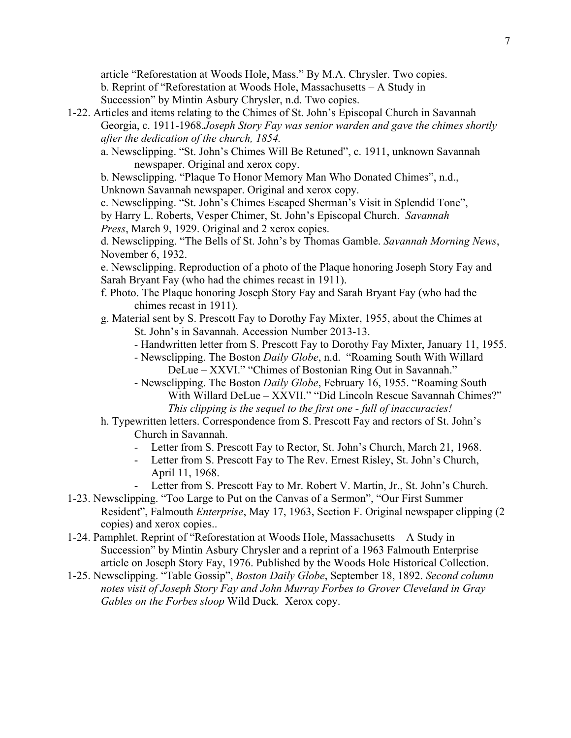article "Reforestation at Woods Hole, Mass." By M.A. Chrysler. Two copies. b. Reprint of "Reforestation at Woods Hole, Massachusetts – A Study in Succession" by Mintin Asbury Chrysler, n.d. Two copies.

- 1-22. Articles and items relating to the Chimes of St. John's Episcopal Church in Savannah Georgia, c. 1911-1968.*Joseph Story Fay was senior warden and gave the chimes shortly after the dedication of the church, 1854.*
	- a. Newsclipping. "St. John's Chimes Will Be Retuned", c. 1911, unknown Savannah newspaper. Original and xerox copy.

b. Newsclipping. "Plaque To Honor Memory Man Who Donated Chimes", n.d., Unknown Savannah newspaper. Original and xerox copy.

c. Newsclipping. "St. John's Chimes Escaped Sherman's Visit in Splendid Tone",

by Harry L. Roberts, Vesper Chimer, St. John's Episcopal Church. *Savannah Press*, March 9, 1929. Original and 2 xerox copies.

d. Newsclipping. "The Bells of St. John's by Thomas Gamble. *Savannah Morning News*, November 6, 1932.

e. Newsclipping. Reproduction of a photo of the Plaque honoring Joseph Story Fay and Sarah Bryant Fay (who had the chimes recast in 1911).

- f. Photo. The Plaque honoring Joseph Story Fay and Sarah Bryant Fay (who had the chimes recast in 1911).
- g. Material sent by S. Prescott Fay to Dorothy Fay Mixter, 1955, about the Chimes at St. John's in Savannah. Accession Number 2013-13.
	- Handwritten letter from S. Prescott Fay to Dorothy Fay Mixter, January 11, 1955.
	- Newsclipping. The Boston *Daily Globe*, n.d. "Roaming South With Willard DeLue – XXVI." "Chimes of Bostonian Ring Out in Savannah."
	- Newsclipping. The Boston *Daily Globe*, February 16, 1955. "Roaming South With Willard DeLue – XXVII." "Did Lincoln Rescue Savannah Chimes?" *This clipping is the sequel to the first one - full of inaccuracies!*
- h. Typewritten letters. Correspondence from S. Prescott Fay and rectors of St. John's Church in Savannah.
	- Letter from S. Prescott Fay to Rector, St. John's Church, March 21, 1968.
	- Letter from S. Prescott Fay to The Rev. Ernest Risley, St. John's Church, April 11, 1968.
	- Letter from S. Prescott Fay to Mr. Robert V. Martin, Jr., St. John's Church.
- 1-23. Newsclipping. "Too Large to Put on the Canvas of a Sermon", "Our First Summer Resident", Falmouth *Enterprise*, May 17, 1963, Section F. Original newspaper clipping (2 copies) and xerox copies..
- 1-24. Pamphlet. Reprint of "Reforestation at Woods Hole, Massachusetts A Study in Succession" by Mintin Asbury Chrysler and a reprint of a 1963 Falmouth Enterprise article on Joseph Story Fay, 1976. Published by the Woods Hole Historical Collection.
- 1-25. Newsclipping. "Table Gossip", *Boston Daily Globe*, September 18, 1892. *Second column notes visit of Joseph Story Fay and John Murray Forbes to Grover Cleveland in Gray Gables on the Forbes sloop* Wild Duck*.* Xerox copy.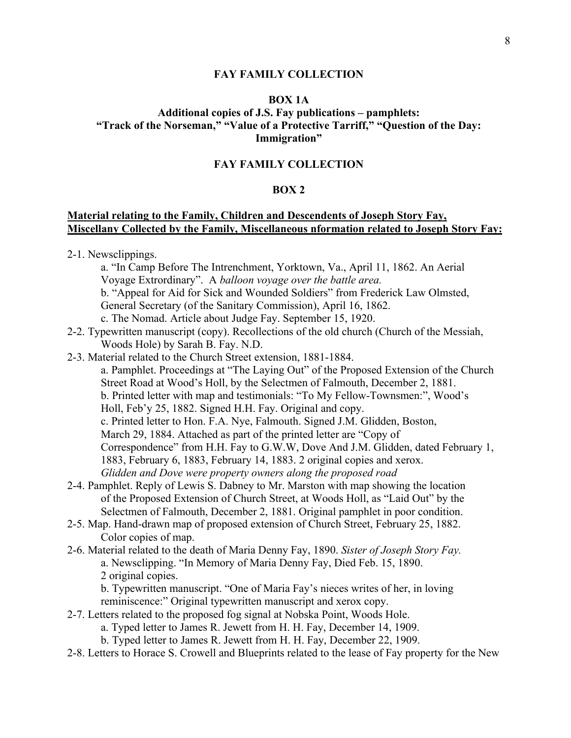### **BOX 1A**

### **Additional copies of J.S. Fay publications – pamphlets: "Track of the Norseman," "Value of a Protective Tarriff," "Question of the Day: Immigration"**

### **FAY FAMILY COLLECTION**

### **BOX 2**

### **Material relating to the Family, Children and Descendents of Joseph Story Fay, Miscellany Collected by the Family, Miscellaneous nformation related to Joseph Story Fay:**

- 2-1. Newsclippings.
	- a. "In Camp Before The Intrenchment, Yorktown, Va., April 11, 1862. An Aerial Voyage Extrordinary". A *balloon voyage over the battle area.*
	- b. "Appeal for Aid for Sick and Wounded Soldiers" from Frederick Law Olmsted,
	- General Secretary (of the Sanitary Commission), April 16, 1862.
	- c. The Nomad. Article about Judge Fay. September 15, 1920.
- 2-2. Typewritten manuscript (copy). Recollections of the old church (Church of the Messiah, Woods Hole) by Sarah B. Fay. N.D.
- 2-3. Material related to the Church Street extension, 1881-1884.

a. Pamphlet. Proceedings at "The Laying Out" of the Proposed Extension of the Church Street Road at Wood's Holl, by the Selectmen of Falmouth, December 2, 1881. b. Printed letter with map and testimonials: "To My Fellow-Townsmen:", Wood's Holl, Feb'y 25, 1882. Signed H.H. Fay. Original and copy. c. Printed letter to Hon. F.A. Nye, Falmouth. Signed J.M. Glidden, Boston, March 29, 1884. Attached as part of the printed letter are "Copy of Correspondence" from H.H. Fay to G.W.W, Dove And J.M. Glidden, dated February 1, 1883, February 6, 1883, February 14, 1883. 2 original copies and xerox. *Glidden and Dove were property owners along the proposed road*

- 2-4. Pamphlet. Reply of Lewis S. Dabney to Mr. Marston with map showing the location of the Proposed Extension of Church Street, at Woods Holl, as "Laid Out" by the Selectmen of Falmouth, December 2, 1881. Original pamphlet in poor condition.
- 2-5. Map. Hand-drawn map of proposed extension of Church Street, February 25, 1882. Color copies of map.
- 2-6. Material related to the death of Maria Denny Fay, 1890. *Sister of Joseph Story Fay.* a. Newsclipping. "In Memory of Maria Denny Fay, Died Feb. 15, 1890. 2 original copies.

b. Typewritten manuscript. "One of Maria Fay's nieces writes of her, in loving reminiscence:" Original typewritten manuscript and xerox copy.

- 2-7. Letters related to the proposed fog signal at Nobska Point, Woods Hole.
	- a. Typed letter to James R. Jewett from H. H. Fay, December 14, 1909.
	- b. Typed letter to James R. Jewett from H. H. Fay, December 22, 1909.
- 2-8. Letters to Horace S. Crowell and Blueprints related to the lease of Fay property for the New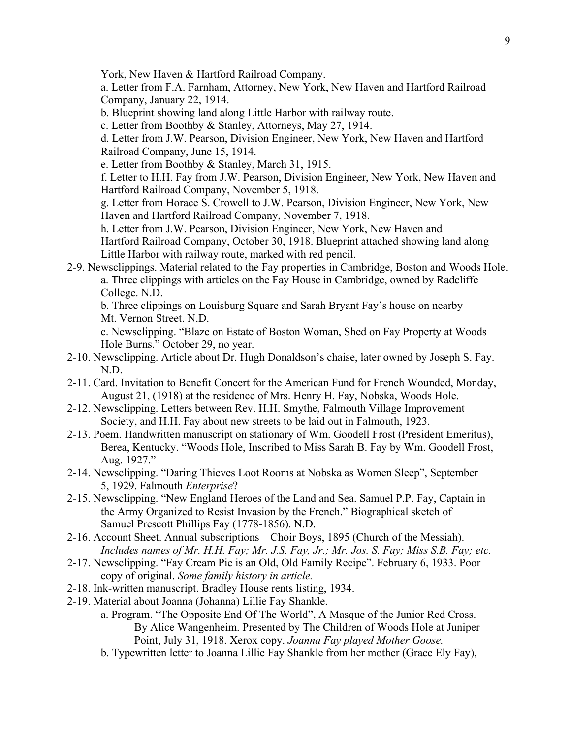York, New Haven & Hartford Railroad Company.

a. Letter from F.A. Farnham, Attorney, New York, New Haven and Hartford Railroad Company, January 22, 1914.

b. Blueprint showing land along Little Harbor with railway route.

c. Letter from Boothby & Stanley, Attorneys, May 27, 1914.

d. Letter from J.W. Pearson, Division Engineer, New York, New Haven and Hartford Railroad Company, June 15, 1914.

e. Letter from Boothby & Stanley, March 31, 1915.

f. Letter to H.H. Fay from J.W. Pearson, Division Engineer, New York, New Haven and Hartford Railroad Company, November 5, 1918.

g. Letter from Horace S. Crowell to J.W. Pearson, Division Engineer, New York, New Haven and Hartford Railroad Company, November 7, 1918.

h. Letter from J.W. Pearson, Division Engineer, New York, New Haven and Hartford Railroad Company, October 30, 1918. Blueprint attached showing land along Little Harbor with railway route, marked with red pencil.

2-9. Newsclippings. Material related to the Fay properties in Cambridge, Boston and Woods Hole. a. Three clippings with articles on the Fay House in Cambridge, owned by Radcliffe College. N.D.

b. Three clippings on Louisburg Square and Sarah Bryant Fay's house on nearby Mt. Vernon Street. N.D.

c. Newsclipping. "Blaze on Estate of Boston Woman, Shed on Fay Property at Woods Hole Burns." October 29, no year.

- 2-10. Newsclipping. Article about Dr. Hugh Donaldson's chaise, later owned by Joseph S. Fay. N.D.
- 2-11. Card. Invitation to Benefit Concert for the American Fund for French Wounded, Monday, August 21, (1918) at the residence of Mrs. Henry H. Fay, Nobska, Woods Hole.
- 2-12. Newsclipping. Letters between Rev. H.H. Smythe, Falmouth Village Improvement Society, and H.H. Fay about new streets to be laid out in Falmouth, 1923.
- 2-13. Poem. Handwritten manuscript on stationary of Wm. Goodell Frost (President Emeritus), Berea, Kentucky. "Woods Hole, Inscribed to Miss Sarah B. Fay by Wm. Goodell Frost, Aug. 1927."
- 2-14. Newsclipping. "Daring Thieves Loot Rooms at Nobska as Women Sleep", September 5, 1929. Falmouth *Enterprise*?
- 2-15. Newsclipping. "New England Heroes of the Land and Sea. Samuel P.P. Fay, Captain in the Army Organized to Resist Invasion by the French." Biographical sketch of Samuel Prescott Phillips Fay (1778-1856). N.D.
- 2-16. Account Sheet. Annual subscriptions Choir Boys, 1895 (Church of the Messiah). *Includes names of Mr. H.H. Fay; Mr. J.S. Fay, Jr.; Mr. Jos. S. Fay; Miss S.B. Fay; etc.*
- 2-17. Newsclipping. "Fay Cream Pie is an Old, Old Family Recipe". February 6, 1933. Poor copy of original. *Some family history in article.*
- 2-18. Ink-written manuscript. Bradley House rents listing, 1934.
- 2-19. Material about Joanna (Johanna) Lillie Fay Shankle.
	- a. Program. "The Opposite End Of The World", A Masque of the Junior Red Cross. By Alice Wangenheim. Presented by The Children of Woods Hole at Juniper Point, July 31, 1918. Xerox copy. *Joanna Fay played Mother Goose.*
		- b. Typewritten letter to Joanna Lillie Fay Shankle from her mother (Grace Ely Fay),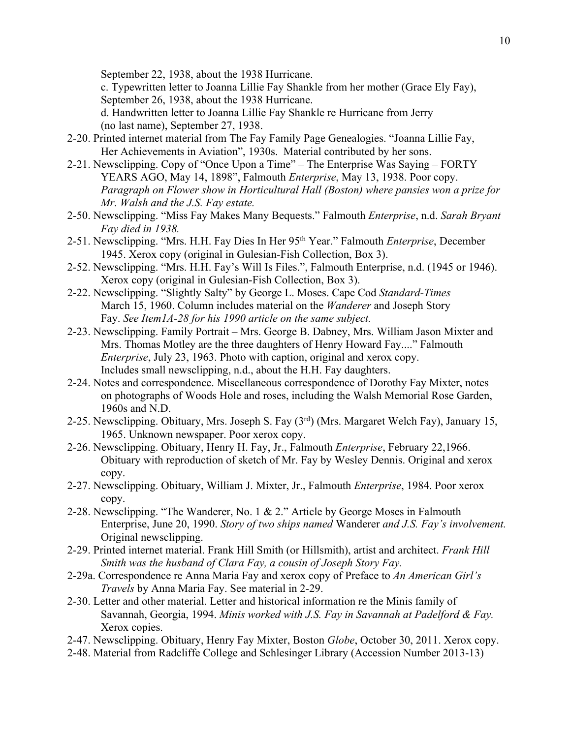September 22, 1938, about the 1938 Hurricane.

c. Typewritten letter to Joanna Lillie Fay Shankle from her mother (Grace Ely Fay), September 26, 1938, about the 1938 Hurricane.

d. Handwritten letter to Joanna Lillie Fay Shankle re Hurricane from Jerry (no last name), September 27, 1938.

- 2-20. Printed internet material from The Fay Family Page Genealogies. "Joanna Lillie Fay, Her Achievements in Aviation", 1930s. Material contributed by her sons.
- 2-21. Newsclipping. Copy of "Once Upon a Time" The Enterprise Was Saying FORTY YEARS AGO, May 14, 1898", Falmouth *Enterprise*, May 13, 1938. Poor copy. *Paragraph on Flower show in Horticultural Hall (Boston) where pansies won a prize for Mr. Walsh and the J.S. Fay estate.*
- 2-50. Newsclipping. "Miss Fay Makes Many Bequests." Falmouth *Enterprise*, n.d. *Sarah Bryant Fay died in 1938.*
- 2-51. Newsclipping. "Mrs. H.H. Fay Dies In Her 95th Year." Falmouth *Enterprise*, December 1945. Xerox copy (original in Gulesian-Fish Collection, Box 3).
- 2-52. Newsclipping. "Mrs. H.H. Fay's Will Is Files.", Falmouth Enterprise, n.d. (1945 or 1946). Xerox copy (original in Gulesian-Fish Collection, Box 3).
- 2-22. Newsclipping. "Slightly Salty" by George L. Moses. Cape Cod *Standard-Times* March 15, 1960. Column includes material on the *Wanderer* and Joseph Story Fay. *See Item1A-28 for his 1990 article on the same subject.*
- 2-23. Newsclipping. Family Portrait Mrs. George B. Dabney, Mrs. William Jason Mixter and Mrs. Thomas Motley are the three daughters of Henry Howard Fay...." Falmouth *Enterprise*, July 23, 1963. Photo with caption, original and xerox copy. Includes small newsclipping, n.d., about the H.H. Fay daughters.
- 2-24. Notes and correspondence. Miscellaneous correspondence of Dorothy Fay Mixter, notes on photographs of Woods Hole and roses, including the Walsh Memorial Rose Garden, 1960s and N.D.
- 2-25. Newsclipping. Obituary, Mrs. Joseph S. Fay (3rd) (Mrs. Margaret Welch Fay), January 15, 1965. Unknown newspaper. Poor xerox copy.
- 2-26. Newsclipping. Obituary, Henry H. Fay, Jr., Falmouth *Enterprise*, February 22,1966. Obituary with reproduction of sketch of Mr. Fay by Wesley Dennis. Original and xerox copy.
- 2-27. Newsclipping. Obituary, William J. Mixter, Jr., Falmouth *Enterprise*, 1984. Poor xerox copy.
- 2-28. Newsclipping. "The Wanderer, No. 1 & 2." Article by George Moses in Falmouth Enterprise, June 20, 1990. *Story of two ships named* Wanderer *and J.S. Fay's involvement.* Original newsclipping.
- 2-29. Printed internet material. Frank Hill Smith (or Hillsmith), artist and architect. *Frank Hill Smith was the husband of Clara Fay, a cousin of Joseph Story Fay.*
- 2-29a. Correspondence re Anna Maria Fay and xerox copy of Preface to *An American Girl's Travels* by Anna Maria Fay. See material in 2-29.
- 2-30. Letter and other material. Letter and historical information re the Minis family of Savannah, Georgia, 1994. *Minis worked with J.S. Fay in Savannah at Padelford & Fay.* Xerox copies.
- 2-47. Newsclipping. Obituary, Henry Fay Mixter, Boston *Globe*, October 30, 2011. Xerox copy.
- 2-48. Material from Radcliffe College and Schlesinger Library (Accession Number 2013-13)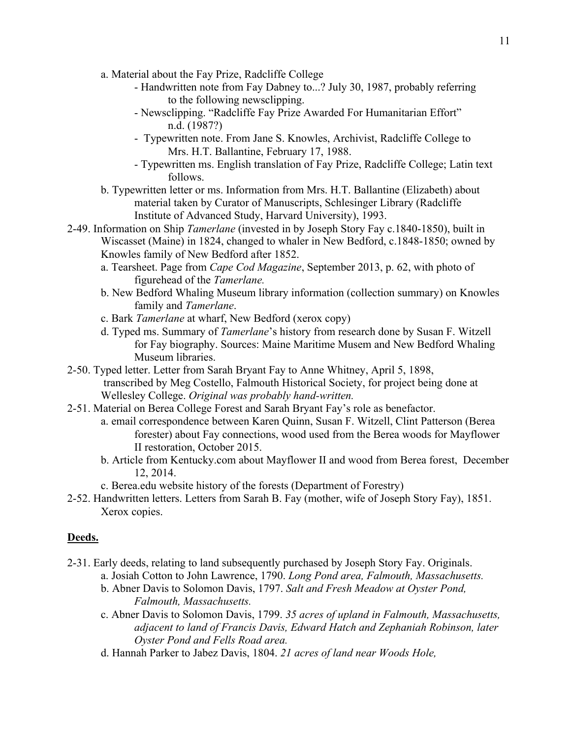- a. Material about the Fay Prize, Radcliffe College
	- Handwritten note from Fay Dabney to...? July 30, 1987, probably referring to the following newsclipping.
	- Newsclipping. "Radcliffe Fay Prize Awarded For Humanitarian Effort" n.d. (1987?)
	- Typewritten note. From Jane S. Knowles, Archivist, Radcliffe College to Mrs. H.T. Ballantine, February 17, 1988.
	- Typewritten ms. English translation of Fay Prize, Radcliffe College; Latin text follows.
- b. Typewritten letter or ms. Information from Mrs. H.T. Ballantine (Elizabeth) about material taken by Curator of Manuscripts, Schlesinger Library (Radcliffe Institute of Advanced Study, Harvard University), 1993.
- 2-49. Information on Ship *Tamerlane* (invested in by Joseph Story Fay c.1840-1850), built in Wiscasset (Maine) in 1824, changed to whaler in New Bedford, c.1848-1850; owned by Knowles family of New Bedford after 1852.
	- a. Tearsheet. Page from *Cape Cod Magazine*, September 2013, p. 62, with photo of figurehead of the *Tamerlane.*
	- b. New Bedford Whaling Museum library information (collection summary) on Knowles family and *Tamerlane*.
	- c. Bark *Tamerlane* at wharf, New Bedford (xerox copy)
	- d. Typed ms. Summary of *Tamerlane*'s history from research done by Susan F. Witzell for Fay biography. Sources: Maine Maritime Musem and New Bedford Whaling Museum libraries.
- 2-50. Typed letter. Letter from Sarah Bryant Fay to Anne Whitney, April 5, 1898, transcribed by Meg Costello, Falmouth Historical Society, for project being done at Wellesley College. *Original was probably hand-written.*
- 2-51. Material on Berea College Forest and Sarah Bryant Fay's role as benefactor.
	- a. email correspondence between Karen Quinn, Susan F. Witzell, Clint Patterson (Berea forester) about Fay connections, wood used from the Berea woods for Mayflower II restoration, October 2015.
	- b. Article from Kentucky.com about Mayflower II and wood from Berea forest, December 12, 2014.
	- c. Berea.edu website history of the forests (Department of Forestry)
- 2-52. Handwritten letters. Letters from Sarah B. Fay (mother, wife of Joseph Story Fay), 1851. Xerox copies.

### **Deeds.**

- 2-31. Early deeds, relating to land subsequently purchased by Joseph Story Fay. Originals.
	- a. Josiah Cotton to John Lawrence, 1790. *Long Pond area, Falmouth, Massachusetts.*
	- b. Abner Davis to Solomon Davis, 1797. *Salt and Fresh Meadow at Oyster Pond, Falmouth, Massachusetts.*
	- c. Abner Davis to Solomon Davis, 1799. *35 acres of upland in Falmouth, Massachusetts, adjacent to land of Francis Davis, Edward Hatch and Zephaniah Robinson, later Oyster Pond and Fells Road area.*
	- d. Hannah Parker to Jabez Davis, 1804. *21 acres of land near Woods Hole,*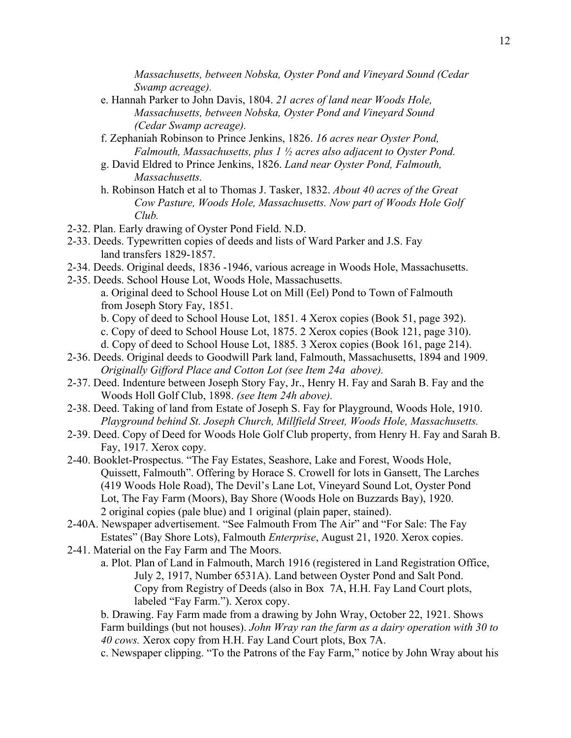*Massachusetts, between Nobska, Oyster Pond and Vineyard Sound (Cedar Swamp acreage).*

- e. Hannah Parker to John Davis, 1804. *21 acres of land near Woods Hole, Massachusetts, between Nobska, Oyster Pond and Vineyard Sound (Cedar Swamp acreage).*
- f. Zephaniah Robinson to Prince Jenkins, 1826. *16 acres near Oyster Pond, Falmouth, Massachusetts, plus 1 ½ acres also adjacent to Oyster Pond.*
- g. David Eldred to Prince Jenkins, 1826. *Land near Oyster Pond, Falmouth, Massachusetts.*
- h. Robinson Hatch et al to Thomas J. Tasker, 1832. *About 40 acres of the Great Cow Pasture, Woods Hole, Massachusetts. Now part of Woods Hole Golf Club.*
- 2-32. Plan. Early drawing of Oyster Pond Field. N.D.
- 2-33. Deeds. Typewritten copies of deeds and lists of Ward Parker and J.S. Fay land transfers 1829-1857.
- 2-34. Deeds. Original deeds, 1836 -1946, various acreage in Woods Hole, Massachusetts.
- 2-35. Deeds. School House Lot, Woods Hole, Massachusetts. a. Original deed to School House Lot on Mill (Eel) Pond to Town of Falmouth from Joseph Story Fay, 1851.
	- b. Copy of deed to School House Lot, 1851. 4 Xerox copies (Book 51, page 392).
	- c. Copy of deed to School House Lot, 1875. 2 Xerox copies (Book 121, page 310).
	- d. Copy of deed to School House Lot, 1885. 3 Xerox copies (Book 161, page 214).
- 2-36. Deeds. Original deeds to Goodwill Park land, Falmouth, Massachusetts, 1894 and 1909. *Originally Gifford Place and Cotton Lot (see Item 24a above).*
- 2-37. Deed. Indenture between Joseph Story Fay, Jr., Henry H. Fay and Sarah B. Fay and the Woods Holl Golf Club, 1898. *(see Item 24h above).*
- 2-38. Deed. Taking of land from Estate of Joseph S. Fay for Playground, Woods Hole, 1910. *Playground behind St. Joseph Church, Millfield Street, Woods Hole, Massachusetts.*
- 2-39. Deed. Copy of Deed for Woods Hole Golf Club property, from Henry H. Fay and Sarah B. Fay, 1917. Xerox copy.
- 2-40. Booklet-Prospectus. "The Fay Estates, Seashore, Lake and Forest, Woods Hole, Quissett, Falmouth". Offering by Horace S. Crowell for lots in Gansett, The Larches (419 Woods Hole Road), The Devil's Lane Lot, Vineyard Sound Lot, Oyster Pond Lot, The Fay Farm (Moors), Bay Shore (Woods Hole on Buzzards Bay), 1920. 2 original copies (pale blue) and 1 original (plain paper, stained).
- 2-40A. Newspaper advertisement. "See Falmouth From The Air" and "For Sale: The Fay Estates" (Bay Shore Lots), Falmouth *Enterprise*, August 21, 1920. Xerox copies.
- 2-41. Material on the Fay Farm and The Moors.
	- a. Plot. Plan of Land in Falmouth, March 1916 (registered in Land Registration Office, July 2, 1917, Number 6531A). Land between Oyster Pond and Salt Pond. Copy from Registry of Deeds (also in Box 7A, H.H. Fay Land Court plots, labeled "Fay Farm."). Xerox copy.

b. Drawing. Fay Farm made from a drawing by John Wray, October 22, 1921. Shows Farm buildings (but not houses). *John Wray ran the farm as a dairy operation with 30 to 40 cows.* Xerox copy from H.H. Fay Land Court plots, Box 7A.

c. Newspaper clipping. "To the Patrons of the Fay Farm," notice by John Wray about his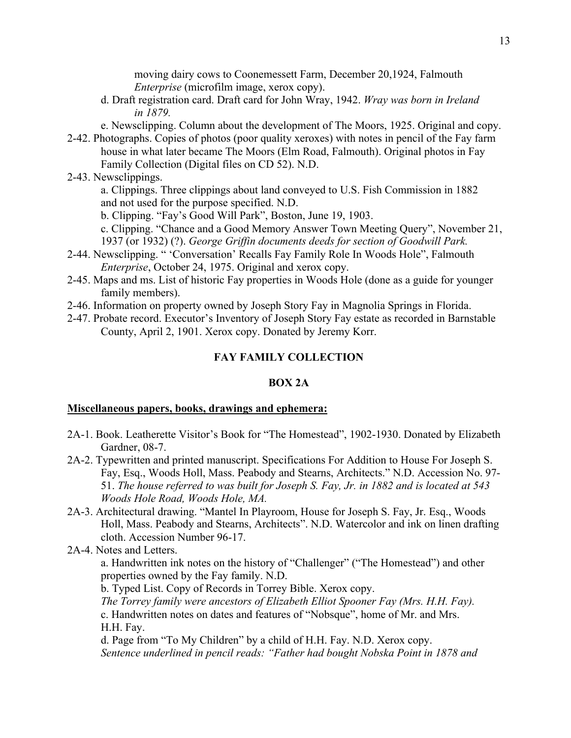moving dairy cows to Coonemessett Farm, December 20,1924, Falmouth *Enterprise* (microfilm image, xerox copy).

d. Draft registration card. Draft card for John Wray, 1942. *Wray was born in Ireland in 1879.*

e. Newsclipping. Column about the development of The Moors, 1925. Original and copy.

- 2-42. Photographs. Copies of photos (poor quality xeroxes) with notes in pencil of the Fay farm house in what later became The Moors (Elm Road, Falmouth). Original photos in Fay Family Collection (Digital files on CD 52). N.D.
- 2-43. Newsclippings.

a. Clippings. Three clippings about land conveyed to U.S. Fish Commission in 1882 and not used for the purpose specified. N.D.

b. Clipping. "Fay's Good Will Park", Boston, June 19, 1903.

c. Clipping. "Chance and a Good Memory Answer Town Meeting Query", November 21, 1937 (or 1932) (?). *George Griffin documents deeds for section of Goodwill Park.*

- 2-44. Newsclipping. " 'Conversation' Recalls Fay Family Role In Woods Hole", Falmouth *Enterprise*, October 24, 1975. Original and xerox copy.
- 2-45. Maps and ms. List of historic Fay properties in Woods Hole (done as a guide for younger family members).
- 2-46. Information on property owned by Joseph Story Fay in Magnolia Springs in Florida.
- 2-47. Probate record. Executor's Inventory of Joseph Story Fay estate as recorded in Barnstable County, April 2, 1901. Xerox copy. Donated by Jeremy Korr.

#### **FAY FAMILY COLLECTION**

#### **BOX 2A**

#### **Miscellaneous papers, books, drawings and ephemera:**

- 2A-1. Book. Leatherette Visitor's Book for "The Homestead", 1902-1930. Donated by Elizabeth Gardner, 08-7.
- 2A-2. Typewritten and printed manuscript. Specifications For Addition to House For Joseph S. Fay, Esq., Woods Holl, Mass. Peabody and Stearns, Architects." N.D. Accession No. 97- 51. *The house referred to was built for Joseph S. Fay, Jr. in 1882 and is located at 543 Woods Hole Road, Woods Hole, MA.*
- 2A-3. Architectural drawing. "Mantel In Playroom, House for Joseph S. Fay, Jr. Esq., Woods Holl, Mass. Peabody and Stearns, Architects". N.D. Watercolor and ink on linen drafting cloth. Accession Number 96-17.
- 2A-4. Notes and Letters.

a. Handwritten ink notes on the history of "Challenger" ("The Homestead") and other properties owned by the Fay family. N.D.

b. Typed List. Copy of Records in Torrey Bible. Xerox copy.

*The Torrey family were ancestors of Elizabeth Elliot Spooner Fay (Mrs. H.H. Fay).* c. Handwritten notes on dates and features of "Nobsque", home of Mr. and Mrs. H.H. Fay.

d. Page from "To My Children" by a child of H.H. Fay. N.D. Xerox copy. *Sentence underlined in pencil reads: "Father had bought Nobska Point in 1878 and*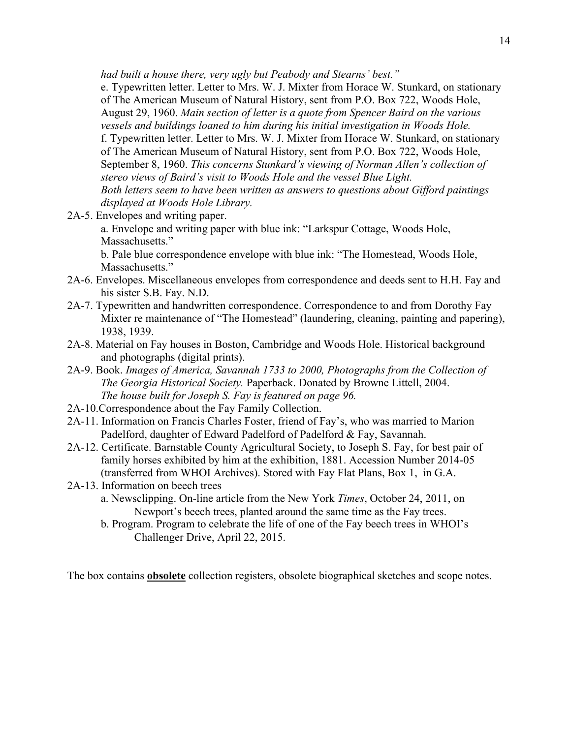*had built a house there, very ugly but Peabody and Stearns' best."*

e. Typewritten letter. Letter to Mrs. W. J. Mixter from Horace W. Stunkard, on stationary of The American Museum of Natural History, sent from P.O. Box 722, Woods Hole, August 29, 1960. *Main section of letter is a quote from Spencer Baird on the various vessels and buildings loaned to him during his initial investigation in Woods Hole.*  f. Typewritten letter. Letter to Mrs. W. J. Mixter from Horace W. Stunkard, on stationary of The American Museum of Natural History, sent from P.O. Box 722, Woods Hole, September 8, 1960. *This concerns Stunkard's viewing of Norman Allen's collection of stereo views of Baird's visit to Woods Hole and the vessel Blue Light. Both letters seem to have been written as answers to questions about Gifford paintings displayed at Woods Hole Library.*

2A-5. Envelopes and writing paper.

a. Envelope and writing paper with blue ink: "Larkspur Cottage, Woods Hole, Massachusetts."

b. Pale blue correspondence envelope with blue ink: "The Homestead, Woods Hole, Massachusetts."

- 2A-6. Envelopes. Miscellaneous envelopes from correspondence and deeds sent to H.H. Fay and his sister S.B. Fay. N.D.
- 2A-7. Typewritten and handwritten correspondence. Correspondence to and from Dorothy Fay Mixter re maintenance of "The Homestead" (laundering, cleaning, painting and papering), 1938, 1939.
- 2A-8. Material on Fay houses in Boston, Cambridge and Woods Hole. Historical background and photographs (digital prints).
- 2A-9. Book. *Images of America, Savannah 1733 to 2000, Photographs from the Collection of The Georgia Historical Society.* Paperback. Donated by Browne Littell, 2004. *The house built for Joseph S. Fay is featured on page 96.*
- 2A-10.Correspondence about the Fay Family Collection.
- 2A-11. Information on Francis Charles Foster, friend of Fay's, who was married to Marion Padelford, daughter of Edward Padelford of Padelford & Fay, Savannah.
- 2A-12. Certificate. Barnstable County Agricultural Society, to Joseph S. Fay, for best pair of family horses exhibited by him at the exhibition, 1881. Accession Number 2014-05 (transferred from WHOI Archives). Stored with Fay Flat Plans, Box 1, in G.A.
- 2A-13. Information on beech trees
	- a. Newsclipping. On-line article from the New York *Times*, October 24, 2011, on Newport's beech trees, planted around the same time as the Fay trees.
	- b. Program. Program to celebrate the life of one of the Fay beech trees in WHOI's Challenger Drive, April 22, 2015.

The box contains **obsolete** collection registers, obsolete biographical sketches and scope notes.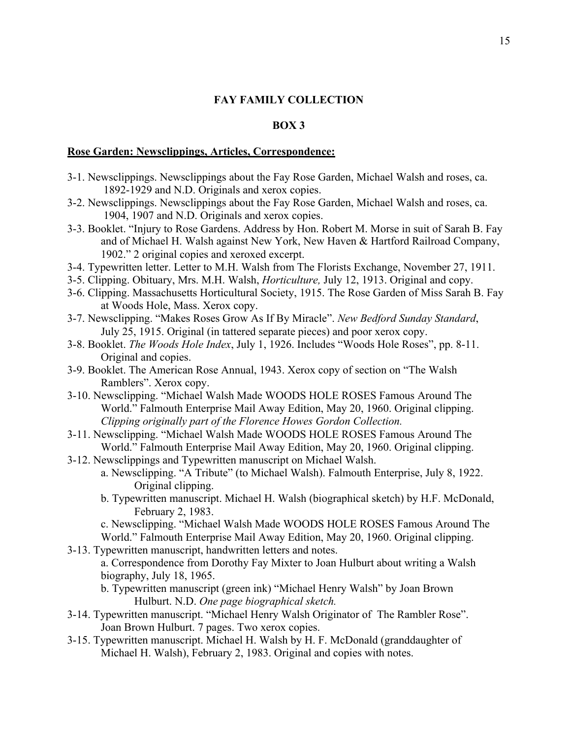#### **BOX 3**

#### **Rose Garden: Newsclippings, Articles, Correspondence:**

- 3-1. Newsclippings. Newsclippings about the Fay Rose Garden, Michael Walsh and roses, ca. 1892-1929 and N.D. Originals and xerox copies.
- 3-2. Newsclippings. Newsclippings about the Fay Rose Garden, Michael Walsh and roses, ca. 1904, 1907 and N.D. Originals and xerox copies.
- 3-3. Booklet. "Injury to Rose Gardens. Address by Hon. Robert M. Morse in suit of Sarah B. Fay and of Michael H. Walsh against New York, New Haven & Hartford Railroad Company, 1902." 2 original copies and xeroxed excerpt.
- 3-4. Typewritten letter. Letter to M.H. Walsh from The Florists Exchange, November 27, 1911.
- 3-5. Clipping. Obituary, Mrs. M.H. Walsh, *Horticulture,* July 12, 1913. Original and copy.
- 3-6. Clipping. Massachusetts Horticultural Society, 1915. The Rose Garden of Miss Sarah B. Fay at Woods Hole, Mass. Xerox copy.
- 3-7. Newsclipping. "Makes Roses Grow As If By Miracle". *New Bedford Sunday Standard*, July 25, 1915. Original (in tattered separate pieces) and poor xerox copy.
- 3-8. Booklet. *The Woods Hole Index*, July 1, 1926. Includes "Woods Hole Roses", pp. 8-11. Original and copies.
- 3-9. Booklet. The American Rose Annual, 1943. Xerox copy of section on "The Walsh Ramblers". Xerox copy.
- 3-10. Newsclipping. "Michael Walsh Made WOODS HOLE ROSES Famous Around The World." Falmouth Enterprise Mail Away Edition, May 20, 1960. Original clipping. *Clipping originally part of the Florence Howes Gordon Collection.*
- 3-11. Newsclipping. "Michael Walsh Made WOODS HOLE ROSES Famous Around The World." Falmouth Enterprise Mail Away Edition, May 20, 1960. Original clipping.
- 3-12. Newsclippings and Typewritten manuscript on Michael Walsh.
	- a. Newsclipping. "A Tribute" (to Michael Walsh). Falmouth Enterprise, July 8, 1922. Original clipping.
	- b. Typewritten manuscript. Michael H. Walsh (biographical sketch) by H.F. McDonald, February 2, 1983.

c. Newsclipping. "Michael Walsh Made WOODS HOLE ROSES Famous Around The

World." Falmouth Enterprise Mail Away Edition, May 20, 1960. Original clipping. 3-13. Typewritten manuscript, handwritten letters and notes.

a. Correspondence from Dorothy Fay Mixter to Joan Hulburt about writing a Walsh biography, July 18, 1965.

b. Typewritten manuscript (green ink) "Michael Henry Walsh" by Joan Brown Hulburt. N.D. *One page biographical sketch.*

- 3-14. Typewritten manuscript. "Michael Henry Walsh Originator of The Rambler Rose". Joan Brown Hulburt. 7 pages. Two xerox copies.
- 3-15. Typewritten manuscript. Michael H. Walsh by H. F. McDonald (granddaughter of Michael H. Walsh), February 2, 1983. Original and copies with notes.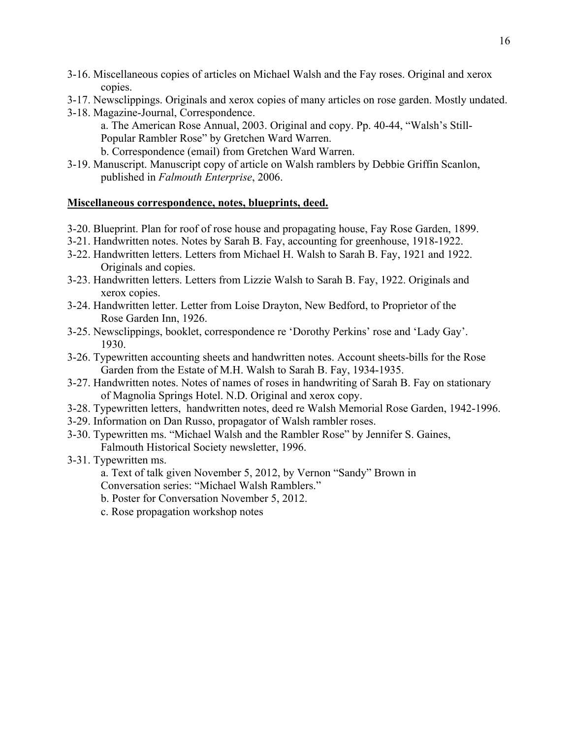- 3-16. Miscellaneous copies of articles on Michael Walsh and the Fay roses. Original and xerox copies.
- 3-17. Newsclippings. Originals and xerox copies of many articles on rose garden. Mostly undated.
- 3-18. Magazine-Journal, Correspondence.
	- a. The American Rose Annual, 2003. Original and copy. Pp. 40-44, "Walsh's Still-Popular Rambler Rose" by Gretchen Ward Warren.
	- b. Correspondence (email) from Gretchen Ward Warren.
- 3-19. Manuscript. Manuscript copy of article on Walsh ramblers by Debbie Griffin Scanlon, published in *Falmouth Enterprise*, 2006.

### **Miscellaneous correspondence, notes, blueprints, deed.**

- 3-20. Blueprint. Plan for roof of rose house and propagating house, Fay Rose Garden, 1899.
- 3-21. Handwritten notes. Notes by Sarah B. Fay, accounting for greenhouse, 1918-1922.
- 3-22. Handwritten letters. Letters from Michael H. Walsh to Sarah B. Fay, 1921 and 1922. Originals and copies.
- 3-23. Handwritten letters. Letters from Lizzie Walsh to Sarah B. Fay, 1922. Originals and xerox copies.
- 3-24. Handwritten letter. Letter from Loise Drayton, New Bedford, to Proprietor of the Rose Garden Inn, 1926.
- 3-25. Newsclippings, booklet, correspondence re 'Dorothy Perkins' rose and 'Lady Gay'. 1930.
- 3-26. Typewritten accounting sheets and handwritten notes. Account sheets-bills for the Rose Garden from the Estate of M.H. Walsh to Sarah B. Fay, 1934-1935.
- 3-27. Handwritten notes. Notes of names of roses in handwriting of Sarah B. Fay on stationary of Magnolia Springs Hotel. N.D. Original and xerox copy.
- 3-28. Typewritten letters, handwritten notes, deed re Walsh Memorial Rose Garden, 1942-1996.
- 3-29. Information on Dan Russo, propagator of Walsh rambler roses.
- 3-30. Typewritten ms. "Michael Walsh and the Rambler Rose" by Jennifer S. Gaines, Falmouth Historical Society newsletter, 1996.
- 3-31. Typewritten ms.
	- a. Text of talk given November 5, 2012, by Vernon "Sandy" Brown in Conversation series: "Michael Walsh Ramblers."
	- b. Poster for Conversation November 5, 2012.
	- c. Rose propagation workshop notes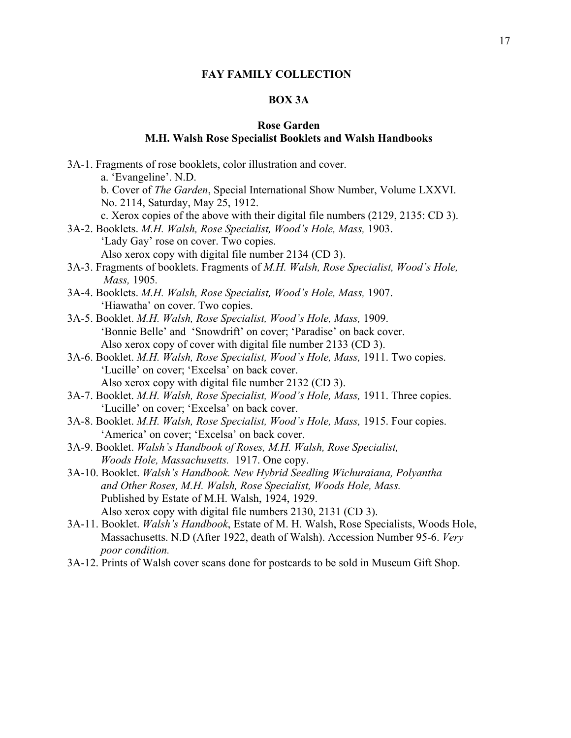# **BOX 3A**

# **Rose Garden**

# **M.H. Walsh Rose Specialist Booklets and Walsh Handbooks**

| 3A-1. Fragments of rose booklets, color illustration and cover.                                    |
|----------------------------------------------------------------------------------------------------|
| a. 'Evangeline'. N.D.                                                                              |
| b. Cover of The Garden, Special International Show Number, Volume LXXVI.                           |
| No. 2114, Saturday, May 25, 1912.                                                                  |
| c. Xerox copies of the above with their digital file numbers (2129, 2135: CD 3).                   |
| 3A-2. Booklets. M.H. Walsh, Rose Specialist, Wood's Hole, Mass, 1903.                              |
| 'Lady Gay' rose on cover. Two copies.                                                              |
| Also xerox copy with digital file number 2134 (CD 3).                                              |
| 3A-3. Fragments of booklets. Fragments of M.H. Walsh, Rose Specialist, Wood's Hole,<br>Mass, 1905. |
| 3A-4. Booklets. M.H. Walsh, Rose Specialist, Wood's Hole, Mass, 1907.                              |
| 'Hiawatha' on cover. Two copies.                                                                   |
| 3A-5. Booklet. M.H. Walsh, Rose Specialist, Wood's Hole, Mass, 1909.                               |
| 'Bonnie Belle' and 'Snowdrift' on cover; 'Paradise' on back cover.                                 |
| Also xerox copy of cover with digital file number 2133 (CD 3).                                     |
| 3A-6. Booklet. M.H. Walsh, Rose Specialist, Wood's Hole, Mass, 1911. Two copies.                   |
| 'Lucille' on cover; 'Excelsa' on back cover.                                                       |
| Also xerox copy with digital file number 2132 (CD 3).                                              |
| 3A-7. Booklet. M.H. Walsh, Rose Specialist, Wood's Hole, Mass, 1911. Three copies.                 |
| 'Lucille' on cover; 'Excelsa' on back cover.                                                       |
| 3A-8. Booklet. M.H. Walsh, Rose Specialist, Wood's Hole, Mass, 1915. Four copies.                  |
| 'America' on cover; 'Excelsa' on back cover.                                                       |
| 3A-9. Booklet. Walsh's Handbook of Roses, M.H. Walsh, Rose Specialist,                             |
| Woods Hole, Massachusetts. 1917. One copy.                                                         |
| 3A-10. Booklet. Walsh's Handbook. New Hybrid Seedling Wichuraiana, Polyantha                       |
| and Other Roses, M.H. Walsh, Rose Specialist, Woods Hole, Mass.                                    |
| Published by Estate of M.H. Walsh, 1924, 1929.                                                     |
| Also xerox copy with digital file numbers 2130, 2131 (CD 3).                                       |
| 3A-11. Booklet. Walsh's Handbook, Estate of M. H. Walsh, Rose Specialists, Woods Hole,             |
| Massachusetts. N.D (After 1922, death of Walsh). Accession Number 95-6. Very                       |
| poor condition.                                                                                    |
| 3A-12. Prints of Walsh cover scans done for postcards to be sold in Museum Gift Shop.              |
|                                                                                                    |
|                                                                                                    |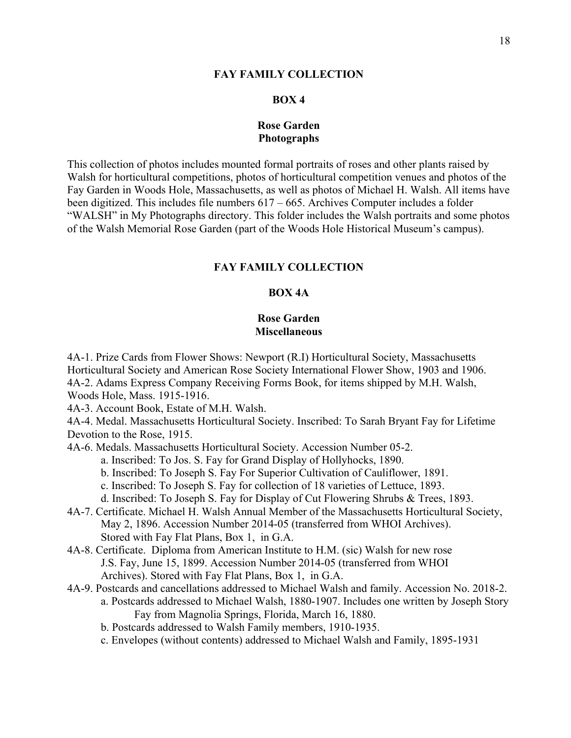#### **BOX 4**

### **Rose Garden Photographs**

This collection of photos includes mounted formal portraits of roses and other plants raised by Walsh for horticultural competitions, photos of horticultural competition venues and photos of the Fay Garden in Woods Hole, Massachusetts, as well as photos of Michael H. Walsh. All items have been digitized. This includes file numbers 617 – 665. Archives Computer includes a folder "WALSH" in My Photographs directory. This folder includes the Walsh portraits and some photos of the Walsh Memorial Rose Garden (part of the Woods Hole Historical Museum's campus).

### **FAY FAMILY COLLECTION**

### **BOX 4A**

### **Rose Garden Miscellaneous**

4A-1. Prize Cards from Flower Shows: Newport (R.I) Horticultural Society, Massachusetts Horticultural Society and American Rose Society International Flower Show, 1903 and 1906. 4A-2. Adams Express Company Receiving Forms Book, for items shipped by M.H. Walsh, Woods Hole, Mass. 1915-1916.

4A-3. Account Book, Estate of M.H. Walsh.

4A-4. Medal. Massachusetts Horticultural Society. Inscribed: To Sarah Bryant Fay for Lifetime Devotion to the Rose, 1915.

4A-6. Medals. Massachusetts Horticultural Society. Accession Number 05-2.

- a. Inscribed: To Jos. S. Fay for Grand Display of Hollyhocks, 1890.
- b. Inscribed: To Joseph S. Fay For Superior Cultivation of Cauliflower, 1891.

c. Inscribed: To Joseph S. Fay for collection of 18 varieties of Lettuce, 1893.

- d. Inscribed: To Joseph S. Fay for Display of Cut Flowering Shrubs & Trees, 1893.
- 4A-7. Certificate. Michael H. Walsh Annual Member of the Massachusetts Horticultural Society, May 2, 1896. Accession Number 2014-05 (transferred from WHOI Archives). Stored with Fay Flat Plans, Box 1, in G.A.
- 4A-8. Certificate. Diploma from American Institute to H.M. (sic) Walsh for new rose J.S. Fay, June 15, 1899. Accession Number 2014-05 (transferred from WHOI Archives). Stored with Fay Flat Plans, Box 1, in G.A.
- 4A-9. Postcards and cancellations addressed to Michael Walsh and family. Accession No. 2018-2. a. Postcards addressed to Michael Walsh, 1880-1907. Includes one written by Joseph Story Fay from Magnolia Springs, Florida, March 16, 1880.
	- b. Postcards addressed to Walsh Family members, 1910-1935.
	- c. Envelopes (without contents) addressed to Michael Walsh and Family, 1895-1931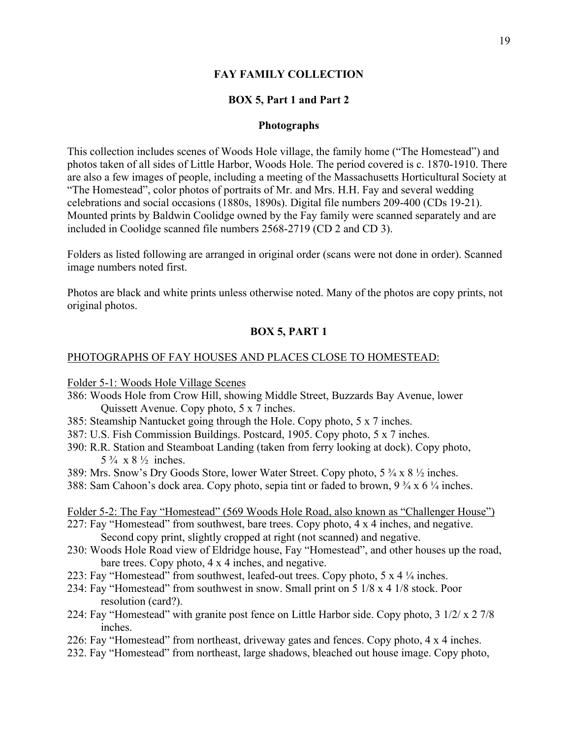### **BOX 5, Part 1 and Part 2**

### **Photographs**

This collection includes scenes of Woods Hole village, the family home ("The Homestead") and photos taken of all sides of Little Harbor, Woods Hole. The period covered is c. 1870-1910. There are also a few images of people, including a meeting of the Massachusetts Horticultural Society at "The Homestead", color photos of portraits of Mr. and Mrs. H.H. Fay and several wedding celebrations and social occasions (1880s, 1890s). Digital file numbers 209-400 (CDs 19-21). Mounted prints by Baldwin Coolidge owned by the Fay family were scanned separately and are included in Coolidge scanned file numbers 2568-2719 (CD 2 and CD 3).

Folders as listed following are arranged in original order (scans were not done in order). Scanned image numbers noted first.

Photos are black and white prints unless otherwise noted. Many of the photos are copy prints, not original photos.

### **BOX 5, PART 1**

### PHOTOGRAPHS OF FAY HOUSES AND PLACES CLOSE TO HOMESTEAD:

Folder 5-1: Woods Hole Village Scenes

- 386: Woods Hole from Crow Hill, showing Middle Street, Buzzards Bay Avenue, lower Quissett Avenue. Copy photo, 5 x 7 inches.
- 385: Steamship Nantucket going through the Hole. Copy photo, 5 x 7 inches.
- 387: U.S. Fish Commission Buildings. Postcard, 1905. Copy photo, 5 x 7 inches.
- 390: R.R. Station and Steamboat Landing (taken from ferry looking at dock). Copy photo,  $5\frac{3}{4} \times 8\frac{1}{2}$  inches.
- 389: Mrs. Snow's Dry Goods Store, lower Water Street. Copy photo,  $5\frac{3}{4} \times 8\frac{1}{2}$  inches.
- 388: Sam Cahoon's dock area. Copy photo, sepia tint or faded to brown, 9 ¾ x 6 ¼ inches.

### Folder 5-2: The Fay "Homestead" (569 Woods Hole Road, also known as "Challenger House")

- 227: Fay "Homestead" from southwest, bare trees. Copy photo, 4 x 4 inches, and negative. Second copy print, slightly cropped at right (not scanned) and negative.
- 230: Woods Hole Road view of Eldridge house, Fay "Homestead", and other houses up the road, bare trees. Copy photo, 4 x 4 inches, and negative.
- 223: Fay "Homestead" from southwest, leafed-out trees. Copy photo,  $5 \times 4 \frac{1}{4}$  inches.
- 234: Fay "Homestead" from southwest in snow. Small print on 5 1/8 x 4 1/8 stock. Poor resolution (card?).
- 224: Fay "Homestead" with granite post fence on Little Harbor side. Copy photo, 3 1/2/ x 2 7/8 inches.
- 226: Fay "Homestead" from northeast, driveway gates and fences. Copy photo, 4 x 4 inches.
- 232. Fay "Homestead" from northeast, large shadows, bleached out house image. Copy photo,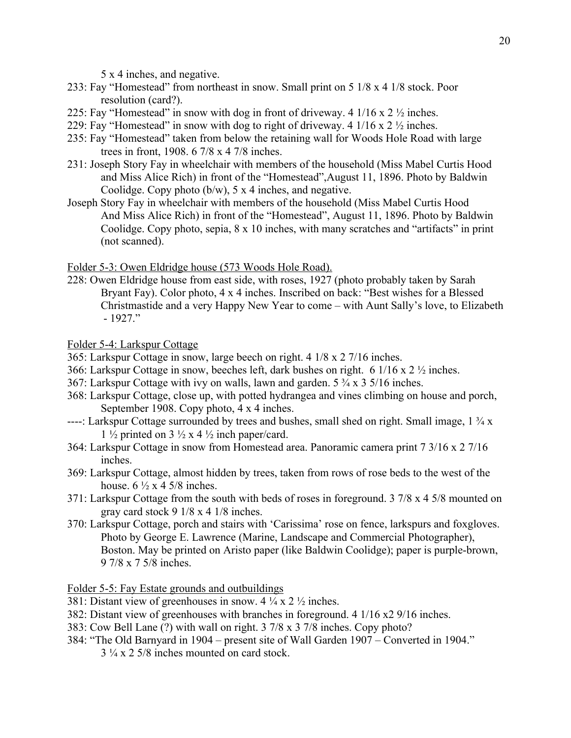5 x 4 inches, and negative.

- 233: Fay "Homestead" from northeast in snow. Small print on 5 1/8 x 4 1/8 stock. Poor resolution (card?).
- 225: Fay "Homestead" in snow with dog in front of driveway. 4  $1/16 \times 2 \frac{1}{2}$  inches.
- 229: Fay "Homestead" in snow with dog to right of driveway. 4  $1/16 \times 2 \frac{1}{2}$  inches.
- 235: Fay "Homestead" taken from below the retaining wall for Woods Hole Road with large trees in front, 1908. 6 7/8 x 4 7/8 inches.
- 231: Joseph Story Fay in wheelchair with members of the household (Miss Mabel Curtis Hood and Miss Alice Rich) in front of the "Homestead",August 11, 1896. Photo by Baldwin Coolidge. Copy photo  $(b/w)$ , 5 x 4 inches, and negative.
- Joseph Story Fay in wheelchair with members of the household (Miss Mabel Curtis Hood And Miss Alice Rich) in front of the "Homestead", August 11, 1896. Photo by Baldwin Coolidge. Copy photo, sepia, 8 x 10 inches, with many scratches and "artifacts" in print (not scanned).

Folder 5-3: Owen Eldridge house (573 Woods Hole Road).

228: Owen Eldridge house from east side, with roses, 1927 (photo probably taken by Sarah Bryant Fay). Color photo, 4 x 4 inches. Inscribed on back: "Best wishes for a Blessed Christmastide and a very Happy New Year to come – with Aunt Sally's love, to Elizabeth - 1927."

Folder 5-4: Larkspur Cottage

- 365: Larkspur Cottage in snow, large beech on right. 4 1/8 x 2 7/16 inches.
- 366: Larkspur Cottage in snow, beeches left, dark bushes on right. 6 1/16 x 2 ½ inches.
- 367: Larkspur Cottage with ivy on walls, lawn and garden. 5 ¾ x 3 5/16 inches.
- 368: Larkspur Cottage, close up, with potted hydrangea and vines climbing on house and porch, September 1908. Copy photo, 4 x 4 inches.
- ----: Larkspur Cottage surrounded by trees and bushes, small shed on right. Small image,  $1\frac{3}{4}x$ 1  $\frac{1}{2}$  printed on 3  $\frac{1}{2}$  x 4  $\frac{1}{2}$  inch paper/card.
- 364: Larkspur Cottage in snow from Homestead area. Panoramic camera print 7 3/16 x 2 7/16 inches.
- 369: Larkspur Cottage, almost hidden by trees, taken from rows of rose beds to the west of the house.  $6\frac{1}{2} \times 4\frac{5}{8}$  inches.
- 371: Larkspur Cottage from the south with beds of roses in foreground. 3 7/8 x 4 5/8 mounted on gray card stock 9 1/8 x 4 1/8 inches.
- 370: Larkspur Cottage, porch and stairs with 'Carissima' rose on fence, larkspurs and foxgloves. Photo by George E. Lawrence (Marine, Landscape and Commercial Photographer), Boston. May be printed on Aristo paper (like Baldwin Coolidge); paper is purple-brown, 9 7/8 x 7 5/8 inches.

Folder 5-5: Fay Estate grounds and outbuildings

- 381: Distant view of greenhouses in snow. 4 ¼ x 2 ½ inches.
- 382: Distant view of greenhouses with branches in foreground. 4 1/16 x2 9/16 inches.
- 383: Cow Bell Lane (?) with wall on right. 3 7/8 x 3 7/8 inches. Copy photo?
- 384: "The Old Barnyard in 1904 present site of Wall Garden 1907 Converted in 1904."  $3\frac{1}{4} \times 2\frac{5}{8}$  inches mounted on card stock.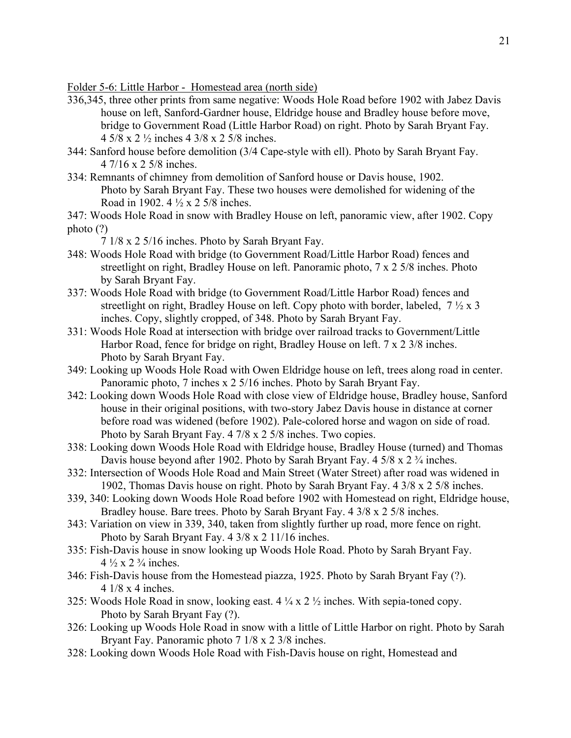Folder 5-6: Little Harbor - Homestead area (north side)

- 336,345, three other prints from same negative: Woods Hole Road before 1902 with Jabez Davis house on left, Sanford-Gardner house, Eldridge house and Bradley house before move, bridge to Government Road (Little Harbor Road) on right. Photo by Sarah Bryant Fay. 4 5/8 x 2 ½ inches 4 3/8 x 2 5/8 inches.
- 344: Sanford house before demolition (3/4 Cape-style with ell). Photo by Sarah Bryant Fay. 4 7/16 x 2 5/8 inches.
- 334: Remnants of chimney from demolition of Sanford house or Davis house, 1902. Photo by Sarah Bryant Fay. These two houses were demolished for widening of the Road in 1902. 4 ½ x 2 5/8 inches.
- 347: Woods Hole Road in snow with Bradley House on left, panoramic view, after 1902. Copy photo (?)
	- 7 1/8 x 2 5/16 inches. Photo by Sarah Bryant Fay.
- 348: Woods Hole Road with bridge (to Government Road/Little Harbor Road) fences and streetlight on right, Bradley House on left. Panoramic photo, 7 x 2 5/8 inches. Photo by Sarah Bryant Fay.
- 337: Woods Hole Road with bridge (to Government Road/Little Harbor Road) fences and streetlight on right, Bradley House on left. Copy photo with border, labeled,  $7 \frac{1}{2} \times 3$ inches. Copy, slightly cropped, of 348. Photo by Sarah Bryant Fay.
- 331: Woods Hole Road at intersection with bridge over railroad tracks to Government/Little Harbor Road, fence for bridge on right, Bradley House on left. 7 x 2 3/8 inches. Photo by Sarah Bryant Fay.
- 349: Looking up Woods Hole Road with Owen Eldridge house on left, trees along road in center. Panoramic photo, 7 inches x 2 5/16 inches. Photo by Sarah Bryant Fay.
- 342: Looking down Woods Hole Road with close view of Eldridge house, Bradley house, Sanford house in their original positions, with two-story Jabez Davis house in distance at corner before road was widened (before 1902). Pale-colored horse and wagon on side of road. Photo by Sarah Bryant Fay. 4 7/8 x 2 5/8 inches. Two copies.
- 338: Looking down Woods Hole Road with Eldridge house, Bradley House (turned) and Thomas Davis house beyond after 1902. Photo by Sarah Bryant Fay. 4 5/8 x 2 3/4 inches.
- 332: Intersection of Woods Hole Road and Main Street (Water Street) after road was widened in 1902, Thomas Davis house on right. Photo by Sarah Bryant Fay. 4 3/8 x 2 5/8 inches.
- 339, 340: Looking down Woods Hole Road before 1902 with Homestead on right, Eldridge house, Bradley house. Bare trees. Photo by Sarah Bryant Fay. 4 3/8 x 2 5/8 inches.
- 343: Variation on view in 339, 340, taken from slightly further up road, more fence on right. Photo by Sarah Bryant Fay. 4 3/8 x 2 11/16 inches.
- 335: Fish-Davis house in snow looking up Woods Hole Road. Photo by Sarah Bryant Fay.  $4\frac{1}{2} \times 2\frac{3}{4}$  inches.
- 346: Fish-Davis house from the Homestead piazza, 1925. Photo by Sarah Bryant Fay (?). 4 1/8 x 4 inches.
- 325: Woods Hole Road in snow, looking east. 4 ¼ x 2 ½ inches. With sepia-toned copy. Photo by Sarah Bryant Fay (?).
- 326: Looking up Woods Hole Road in snow with a little of Little Harbor on right. Photo by Sarah Bryant Fay. Panoramic photo 7 1/8 x 2 3/8 inches.
- 328: Looking down Woods Hole Road with Fish-Davis house on right, Homestead and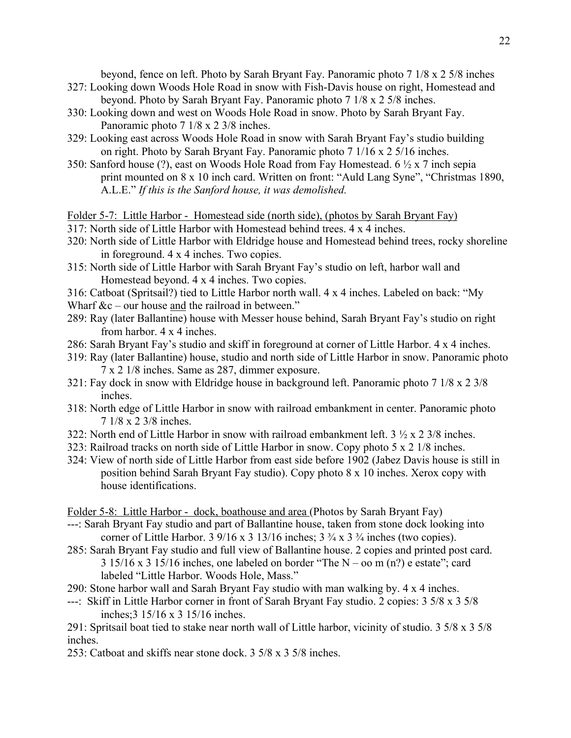beyond, fence on left. Photo by Sarah Bryant Fay. Panoramic photo 7 1/8 x 2 5/8 inches

- 327: Looking down Woods Hole Road in snow with Fish-Davis house on right, Homestead and beyond. Photo by Sarah Bryant Fay. Panoramic photo 7 1/8 x 2 5/8 inches.
- 330: Looking down and west on Woods Hole Road in snow. Photo by Sarah Bryant Fay. Panoramic photo 7 1/8 x 2 3/8 inches.
- 329: Looking east across Woods Hole Road in snow with Sarah Bryant Fay's studio building on right. Photo by Sarah Bryant Fay. Panoramic photo 7 1/16 x 2 5/16 inches.
- 350: Sanford house (?), east on Woods Hole Road from Fay Homestead. 6 ½ x 7 inch sepia print mounted on 8 x 10 inch card. Written on front: "Auld Lang Syne", "Christmas 1890, A.L.E." *If this is the Sanford house, it was demolished.*

Folder 5-7: Little Harbor - Homestead side (north side), (photos by Sarah Bryant Fay)

- 317: North side of Little Harbor with Homestead behind trees. 4 x 4 inches.
- 320: North side of Little Harbor with Eldridge house and Homestead behind trees, rocky shoreline in foreground. 4 x 4 inches. Two copies.
- 315: North side of Little Harbor with Sarah Bryant Fay's studio on left, harbor wall and Homestead beyond. 4 x 4 inches. Two copies.
- 316: Catboat (Spritsail?) tied to Little Harbor north wall. 4 x 4 inches. Labeled on back: "My
- Wharf &c our house and the railroad in between."
- 289: Ray (later Ballantine) house with Messer house behind, Sarah Bryant Fay's studio on right from harbor. 4 x 4 inches.
- 286: Sarah Bryant Fay's studio and skiff in foreground at corner of Little Harbor. 4 x 4 inches.
- 319: Ray (later Ballantine) house, studio and north side of Little Harbor in snow. Panoramic photo 7 x 2 1/8 inches. Same as 287, dimmer exposure.
- 321: Fay dock in snow with Eldridge house in background left. Panoramic photo 7 1/8 x 2 3/8 inches.
- 318: North edge of Little Harbor in snow with railroad embankment in center. Panoramic photo 7 1/8 x 2 3/8 inches.
- 322: North end of Little Harbor in snow with railroad embankment left. 3 ½ x 2 3/8 inches.
- 323: Railroad tracks on north side of Little Harbor in snow. Copy photo 5 x 2 1/8 inches.
- 324: View of north side of Little Harbor from east side before 1902 (Jabez Davis house is still in position behind Sarah Bryant Fay studio). Copy photo 8 x 10 inches. Xerox copy with house identifications.

Folder 5-8: Little Harbor - dock, boathouse and area (Photos by Sarah Bryant Fay)

- ---: Sarah Bryant Fay studio and part of Ballantine house, taken from stone dock looking into corner of Little Harbor. 3 9/16 x 3 13/16 inches;  $3\frac{3}{4}$  x  $3\frac{3}{4}$  inches (two copies).
- 285: Sarah Bryant Fay studio and full view of Ballantine house. 2 copies and printed post card.  $3\frac{15}{16}$  x  $3\frac{15}{16}$  inches, one labeled on border "The N – oo m (n?) e estate"; card labeled "Little Harbor. Woods Hole, Mass."
- 290: Stone harbor wall and Sarah Bryant Fay studio with man walking by. 4 x 4 inches.
- ---: Skiff in Little Harbor corner in front of Sarah Bryant Fay studio. 2 copies: 3 5/8 x 3 5/8 inches;3 15/16 x 3 15/16 inches.

291: Spritsail boat tied to stake near north wall of Little harbor, vicinity of studio. 3 5/8 x 3 5/8 inches.

253: Catboat and skiffs near stone dock. 3 5/8 x 3 5/8 inches.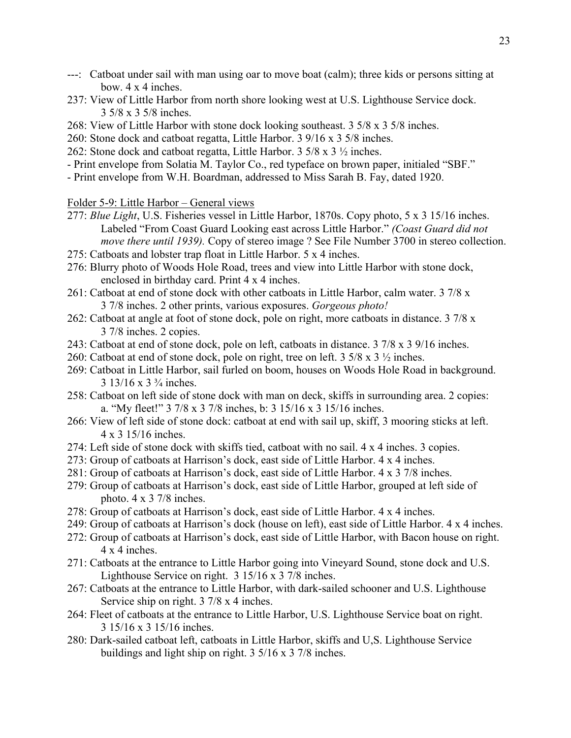- ---: Catboat under sail with man using oar to move boat (calm); three kids or persons sitting at bow. 4 x 4 inches.
- 237: View of Little Harbor from north shore looking west at U.S. Lighthouse Service dock. 3 5/8 x 3 5/8 inches.
- 268: View of Little Harbor with stone dock looking southeast. 3 5/8 x 3 5/8 inches.
- 260: Stone dock and catboat regatta, Little Harbor. 3 9/16 x 3 5/8 inches.
- 262: Stone dock and catboat regatta, Little Harbor. 3 5/8 x 3 ½ inches.
- Print envelope from Solatia M. Taylor Co., red typeface on brown paper, initialed "SBF."
- Print envelope from W.H. Boardman, addressed to Miss Sarah B. Fay, dated 1920.

### Folder 5-9: Little Harbor – General views

- 277: *Blue Light*, U.S. Fisheries vessel in Little Harbor, 1870s. Copy photo, 5 x 3 15/16 inches. Labeled "From Coast Guard Looking east across Little Harbor." *(Coast Guard did not move there until 1939).* Copy of stereo image ? See File Number 3700 in stereo collection.
- 275: Catboats and lobster trap float in Little Harbor. 5 x 4 inches.
- 276: Blurry photo of Woods Hole Road, trees and view into Little Harbor with stone dock, enclosed in birthday card. Print 4 x 4 inches.
- 261: Catboat at end of stone dock with other catboats in Little Harbor, calm water. 3 7/8 x 3 7/8 inches. 2 other prints, various exposures. *Gorgeous photo!*
- 262: Catboat at angle at foot of stone dock, pole on right, more catboats in distance. 3 7/8 x 3 7/8 inches. 2 copies.
- 243: Catboat at end of stone dock, pole on left, catboats in distance. 3 7/8 x 3 9/16 inches.
- 260: Catboat at end of stone dock, pole on right, tree on left. 3 5/8 x 3 ½ inches.
- 269: Catboat in Little Harbor, sail furled on boom, houses on Woods Hole Road in background. 3 13/16 x 3 ¾ inches.
- 258: Catboat on left side of stone dock with man on deck, skiffs in surrounding area. 2 copies: a. "My fleet!" 3 7/8 x 3 7/8 inches, b: 3 15/16 x 3 15/16 inches.
- 266: View of left side of stone dock: catboat at end with sail up, skiff, 3 mooring sticks at left. 4 x 3 15/16 inches.
- 274: Left side of stone dock with skiffs tied, catboat with no sail. 4 x 4 inches. 3 copies.
- 273: Group of catboats at Harrison's dock, east side of Little Harbor. 4 x 4 inches.
- 281: Group of catboats at Harrison's dock, east side of Little Harbor. 4 x 3 7/8 inches.
- 279: Group of catboats at Harrison's dock, east side of Little Harbor, grouped at left side of photo. 4 x 3 7/8 inches.
- 278: Group of catboats at Harrison's dock, east side of Little Harbor. 4 x 4 inches.
- 249: Group of catboats at Harrison's dock (house on left), east side of Little Harbor. 4 x 4 inches.
- 272: Group of catboats at Harrison's dock, east side of Little Harbor, with Bacon house on right. 4 x 4 inches.
- 271: Catboats at the entrance to Little Harbor going into Vineyard Sound, stone dock and U.S. Lighthouse Service on right. 3 15/16 x 3 7/8 inches.
- 267: Catboats at the entrance to Little Harbor, with dark-sailed schooner and U.S. Lighthouse Service ship on right. 3 7/8 x 4 inches.
- 264: Fleet of catboats at the entrance to Little Harbor, U.S. Lighthouse Service boat on right. 3 15/16 x 3 15/16 inches.
- 280: Dark-sailed catboat left, catboats in Little Harbor, skiffs and U,S. Lighthouse Service buildings and light ship on right. 3 5/16 x 3 7/8 inches.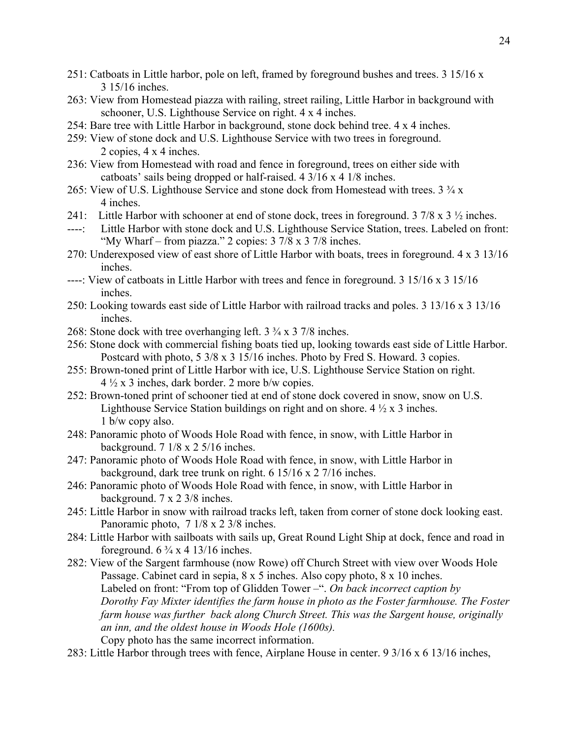- 251: Catboats in Little harbor, pole on left, framed by foreground bushes and trees. 3 15/16 x 3 15/16 inches.
- 263: View from Homestead piazza with railing, street railing, Little Harbor in background with schooner, U.S. Lighthouse Service on right. 4 x 4 inches.
- 254: Bare tree with Little Harbor in background, stone dock behind tree. 4 x 4 inches.
- 259: View of stone dock and U.S. Lighthouse Service with two trees in foreground. 2 copies, 4 x 4 inches.
- 236: View from Homestead with road and fence in foreground, trees on either side with catboats' sails being dropped or half-raised. 4 3/16 x 4 1/8 inches.
- 265: View of U.S. Lighthouse Service and stone dock from Homestead with trees. 3 ¾ x 4 inches.
- 241: Little Harbor with schooner at end of stone dock, trees in foreground.  $3\frac{7}{8} \times 3\frac{1}{2}$  inches.
- ----: Little Harbor with stone dock and U.S. Lighthouse Service Station, trees. Labeled on front: "My Wharf – from piazza." 2 copies: 3 7/8 x 3 7/8 inches.
- 270: Underexposed view of east shore of Little Harbor with boats, trees in foreground. 4 x 3 13/16 inches.
- ----: View of catboats in Little Harbor with trees and fence in foreground. 3 15/16 x 3 15/16 inches.
- 250: Looking towards east side of Little Harbor with railroad tracks and poles. 3 13/16 x 3 13/16 inches.
- 268: Stone dock with tree overhanging left. 3 ¾ x 3 7/8 inches.
- 256: Stone dock with commercial fishing boats tied up, looking towards east side of Little Harbor. Postcard with photo, 5 3/8 x 3 15/16 inches. Photo by Fred S. Howard. 3 copies.
- 255: Brown-toned print of Little Harbor with ice, U.S. Lighthouse Service Station on right.  $4\frac{1}{2}$  x 3 inches, dark border. 2 more b/w copies.
- 252: Brown-toned print of schooner tied at end of stone dock covered in snow, snow on U.S. Lighthouse Service Station buildings on right and on shore. 4 ½ x 3 inches. 1 b/w copy also.
- 248: Panoramic photo of Woods Hole Road with fence, in snow, with Little Harbor in background. 7 1/8 x 2 5/16 inches.
- 247: Panoramic photo of Woods Hole Road with fence, in snow, with Little Harbor in background, dark tree trunk on right. 6 15/16 x 2 7/16 inches.
- 246: Panoramic photo of Woods Hole Road with fence, in snow, with Little Harbor in background. 7 x 2 3/8 inches.
- 245: Little Harbor in snow with railroad tracks left, taken from corner of stone dock looking east. Panoramic photo, 7 1/8 x 2 3/8 inches.
- 284: Little Harbor with sailboats with sails up, Great Round Light Ship at dock, fence and road in foreground.  $6\frac{3}{4} \times 4$  13/16 inches.
- 282: View of the Sargent farmhouse (now Rowe) off Church Street with view over Woods Hole Passage. Cabinet card in sepia, 8 x 5 inches. Also copy photo, 8 x 10 inches. Labeled on front: "From top of Glidden Tower –". *On back incorrect caption by Dorothy Fay Mixter identifies the farm house in photo as the Foster farmhouse. The Foster farm house was further back along Church Street. This was the Sargent house, originally an inn, and the oldest house in Woods Hole (1600s).* Copy photo has the same incorrect information.
- 283: Little Harbor through trees with fence, Airplane House in center. 9 3/16 x 6 13/16 inches,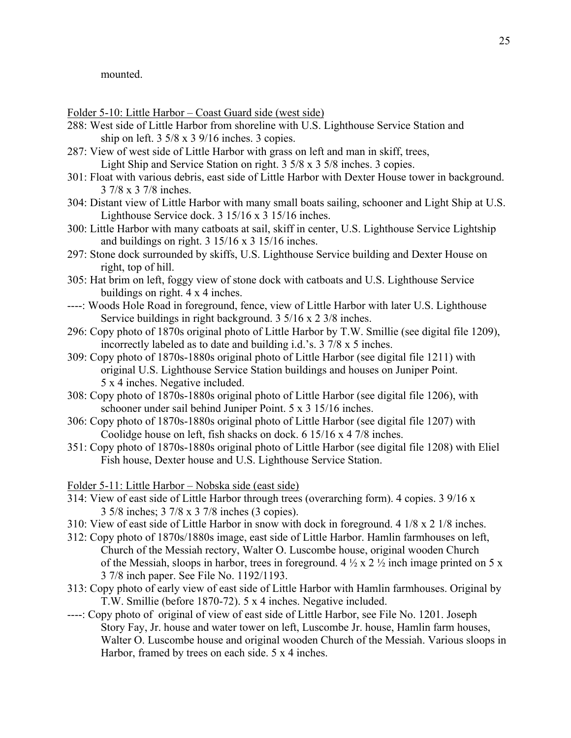mounted.

Folder 5-10: Little Harbor – Coast Guard side (west side)

- 288: West side of Little Harbor from shoreline with U.S. Lighthouse Service Station and ship on left.  $3\frac{5}{8} \times 3\frac{9}{16}$  inches. 3 copies.
- 287: View of west side of Little Harbor with grass on left and man in skiff, trees, Light Ship and Service Station on right. 3 5/8 x 3 5/8 inches. 3 copies.
- 301: Float with various debris, east side of Little Harbor with Dexter House tower in background. 3 7/8 x 3 7/8 inches.
- 304: Distant view of Little Harbor with many small boats sailing, schooner and Light Ship at U.S. Lighthouse Service dock.  $3 \frac{15}{16} \times 3 \frac{15}{16}$  inches.
- 300: Little Harbor with many catboats at sail, skiff in center, U.S. Lighthouse Service Lightship and buildings on right.  $3 \frac{15}{16} \times 3 \frac{15}{16}$  inches.
- 297: Stone dock surrounded by skiffs, U.S. Lighthouse Service building and Dexter House on right, top of hill.
- 305: Hat brim on left, foggy view of stone dock with catboats and U.S. Lighthouse Service buildings on right. 4 x 4 inches.
- ----: Woods Hole Road in foreground, fence, view of Little Harbor with later U.S. Lighthouse Service buildings in right background. 3 5/16 x 2 3/8 inches.
- 296: Copy photo of 1870s original photo of Little Harbor by T.W. Smillie (see digital file 1209), incorrectly labeled as to date and building i.d.'s. 3 7/8 x 5 inches.
- 309: Copy photo of 1870s-1880s original photo of Little Harbor (see digital file 1211) with original U.S. Lighthouse Service Station buildings and houses on Juniper Point. 5 x 4 inches. Negative included.
- 308: Copy photo of 1870s-1880s original photo of Little Harbor (see digital file 1206), with schooner under sail behind Juniper Point. 5 x 3 15/16 inches.
- 306: Copy photo of 1870s-1880s original photo of Little Harbor (see digital file 1207) with Coolidge house on left, fish shacks on dock. 6 15/16 x 4 7/8 inches.
- 351: Copy photo of 1870s-1880s original photo of Little Harbor (see digital file 1208) with Eliel Fish house, Dexter house and U.S. Lighthouse Service Station.

Folder 5-11: Little Harbor – Nobska side (east side)

- 314: View of east side of Little Harbor through trees (overarching form). 4 copies. 3 9/16 x 3 5/8 inches; 3 7/8 x 3 7/8 inches (3 copies).
- 310: View of east side of Little Harbor in snow with dock in foreground. 4 1/8 x 2 1/8 inches.
- 312: Copy photo of 1870s/1880s image, east side of Little Harbor. Hamlin farmhouses on left, Church of the Messiah rectory, Walter O. Luscombe house, original wooden Church of the Messiah, sloops in harbor, trees in foreground.  $4 \frac{1}{2} \times 2 \frac{1}{2}$  inch image printed on 5 x 3 7/8 inch paper. See File No. 1192/1193.
- 313: Copy photo of early view of east side of Little Harbor with Hamlin farmhouses. Original by T.W. Smillie (before 1870-72). 5 x 4 inches. Negative included.
- ----: Copy photo of original of view of east side of Little Harbor, see File No. 1201. Joseph Story Fay, Jr. house and water tower on left, Luscombe Jr. house, Hamlin farm houses, Walter O. Luscombe house and original wooden Church of the Messiah. Various sloops in Harbor, framed by trees on each side. 5 x 4 inches.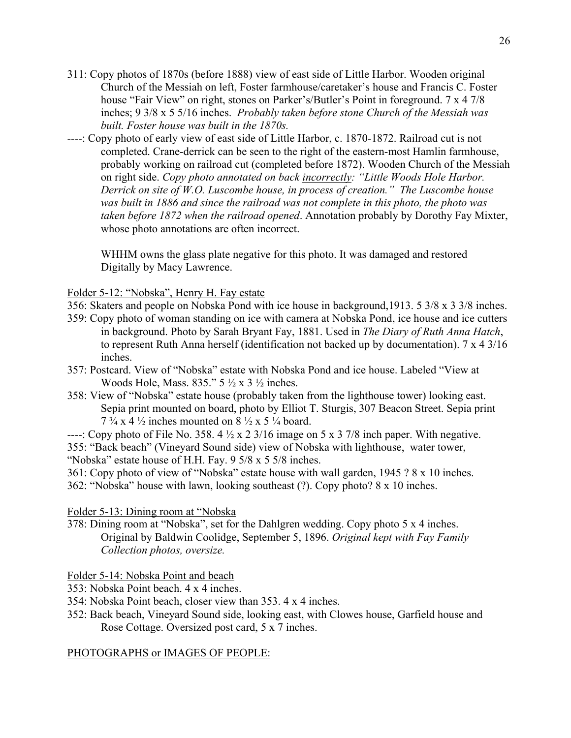- 311: Copy photos of 1870s (before 1888) view of east side of Little Harbor. Wooden original Church of the Messiah on left, Foster farmhouse/caretaker's house and Francis C. Foster house "Fair View" on right, stones on Parker's/Butler's Point in foreground. 7 x 4 7/8 inches; 9 3/8 x 5 5/16 inches. *Probably taken before stone Church of the Messiah was built. Foster house was built in the 1870s.*
- ----: Copy photo of early view of east side of Little Harbor, c. 1870-1872. Railroad cut is not completed. Crane-derrick can be seen to the right of the eastern-most Hamlin farmhouse, probably working on railroad cut (completed before 1872). Wooden Church of the Messiah on right side. *Copy photo annotated on back incorrectly: "Little Woods Hole Harbor. Derrick on site of W.O. Luscombe house, in process of creation." The Luscombe house was built in 1886 and since the railroad was not complete in this photo, the photo was taken before 1872 when the railroad opened*. Annotation probably by Dorothy Fay Mixter, whose photo annotations are often incorrect.

WHHM owns the glass plate negative for this photo. It was damaged and restored Digitally by Macy Lawrence.

Folder 5-12: "Nobska", Henry H. Fay estate

- 356: Skaters and people on Nobska Pond with ice house in background,1913. 5 3/8 x 3 3/8 inches.
- 359: Copy photo of woman standing on ice with camera at Nobska Pond, ice house and ice cutters in background. Photo by Sarah Bryant Fay, 1881. Used in *The Diary of Ruth Anna Hatch*, to represent Ruth Anna herself (identification not backed up by documentation). 7 x 4 3/16 inches.
- 357: Postcard. View of "Nobska" estate with Nobska Pond and ice house. Labeled "View at Woods Hole, Mass.  $835." 5 \frac{1}{2} \times 3 \frac{1}{2}$  inches.
- 358: View of "Nobska" estate house (probably taken from the lighthouse tower) looking east. Sepia print mounted on board, photo by Elliot T. Sturgis, 307 Beacon Street. Sepia print  $7\frac{3}{4}$  x 4  $\frac{1}{2}$  inches mounted on 8  $\frac{1}{2}$  x 5  $\frac{1}{4}$  board.
- ----: Copy photo of File No. 358. 4  $\frac{1}{2}$  x 2 3/16 image on 5 x 3 7/8 inch paper. With negative. 355: "Back beach" (Vineyard Sound side) view of Nobska with lighthouse, water tower, "Nobska" estate house of H.H. Fay. 9 5/8 x 5 5/8 inches.

361: Copy photo of view of "Nobska" estate house with wall garden, 1945 ? 8 x 10 inches.

362: "Nobska" house with lawn, looking southeast (?). Copy photo? 8 x 10 inches.

### Folder 5-13: Dining room at "Nobska

378: Dining room at "Nobska", set for the Dahlgren wedding. Copy photo 5 x 4 inches. Original by Baldwin Coolidge, September 5, 1896. *Original kept with Fay Family Collection photos, oversize.*

Folder 5-14: Nobska Point and beach

- 353: Nobska Point beach. 4 x 4 inches.
- 354: Nobska Point beach, closer view than 353. 4 x 4 inches.
- 352: Back beach, Vineyard Sound side, looking east, with Clowes house, Garfield house and Rose Cottage. Oversized post card, 5 x 7 inches.

### PHOTOGRAPHS or IMAGES OF PEOPLE: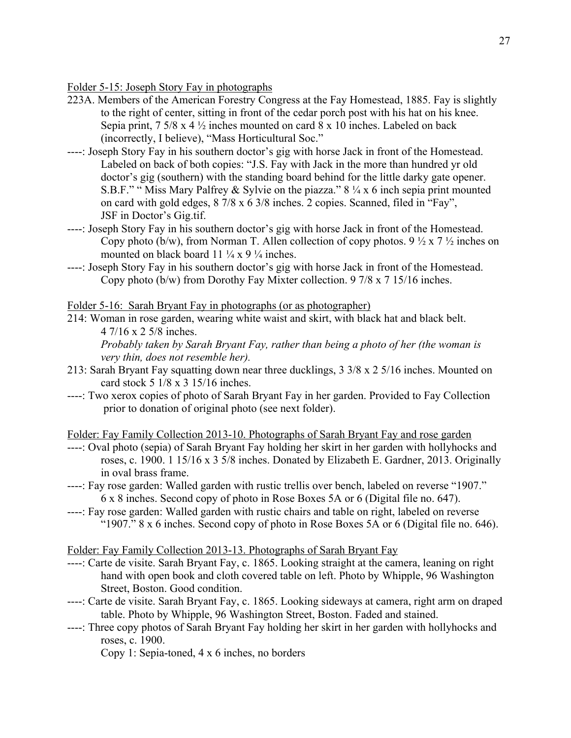Folder 5-15: Joseph Story Fay in photographs

- 223A. Members of the American Forestry Congress at the Fay Homestead, 1885. Fay is slightly to the right of center, sitting in front of the cedar porch post with his hat on his knee. Sepia print,  $7\frac{5}{8}$  x 4  $\frac{1}{2}$  inches mounted on card  $8 \times 10$  inches. Labeled on back (incorrectly, I believe), "Mass Horticultural Soc."
- ----: Joseph Story Fay in his southern doctor's gig with horse Jack in front of the Homestead. Labeled on back of both copies: "J.S. Fay with Jack in the more than hundred yr old doctor's gig (southern) with the standing board behind for the little darky gate opener. S.B.F." " Miss Mary Palfrey & Sylvie on the piazza." 8 ¼ x 6 inch sepia print mounted on card with gold edges, 8 7/8 x 6 3/8 inches. 2 copies. Scanned, filed in "Fay", JSF in Doctor's Gig.tif.
- ----: Joseph Story Fay in his southern doctor's gig with horse Jack in front of the Homestead. Copy photo (b/w), from Norman T. Allen collection of copy photos.  $9\frac{1}{2} \times 7\frac{1}{2}$  inches on mounted on black board 11  $\frac{1}{4}$  x 9  $\frac{1}{4}$  inches.
- ----: Joseph Story Fay in his southern doctor's gig with horse Jack in front of the Homestead. Copy photo (b/w) from Dorothy Fay Mixter collection. 9 7/8 x 7 15/16 inches.

Folder 5-16: Sarah Bryant Fay in photographs (or as photographer)

214: Woman in rose garden, wearing white waist and skirt, with black hat and black belt. 4 7/16 x 2 5/8 inches.

*Probably taken by Sarah Bryant Fay, rather than being a photo of her (the woman is very thin, does not resemble her).*

- 213: Sarah Bryant Fay squatting down near three ducklings, 3 3/8 x 2 5/16 inches. Mounted on card stock 5 1/8 x 3 15/16 inches.
- ----: Two xerox copies of photo of Sarah Bryant Fay in her garden. Provided to Fay Collection prior to donation of original photo (see next folder).

Folder: Fay Family Collection 2013-10. Photographs of Sarah Bryant Fay and rose garden

- ----: Oval photo (sepia) of Sarah Bryant Fay holding her skirt in her garden with hollyhocks and roses, c. 1900. 1 15/16 x 3 5/8 inches. Donated by Elizabeth E. Gardner, 2013. Originally in oval brass frame.
- ----: Fay rose garden: Walled garden with rustic trellis over bench, labeled on reverse "1907." 6 x 8 inches. Second copy of photo in Rose Boxes 5A or 6 (Digital file no. 647).
- ----: Fay rose garden: Walled garden with rustic chairs and table on right, labeled on reverse "1907." 8 x 6 inches. Second copy of photo in Rose Boxes 5A or 6 (Digital file no. 646).

Folder: Fay Family Collection 2013-13. Photographs of Sarah Bryant Fay

- ----: Carte de visite. Sarah Bryant Fay, c. 1865. Looking straight at the camera, leaning on right hand with open book and cloth covered table on left. Photo by Whipple, 96 Washington Street, Boston. Good condition.
- ----: Carte de visite. Sarah Bryant Fay, c. 1865. Looking sideways at camera, right arm on draped table. Photo by Whipple, 96 Washington Street, Boston. Faded and stained.
- ----: Three copy photos of Sarah Bryant Fay holding her skirt in her garden with hollyhocks and roses, c. 1900.

Copy 1: Sepia-toned, 4 x 6 inches, no borders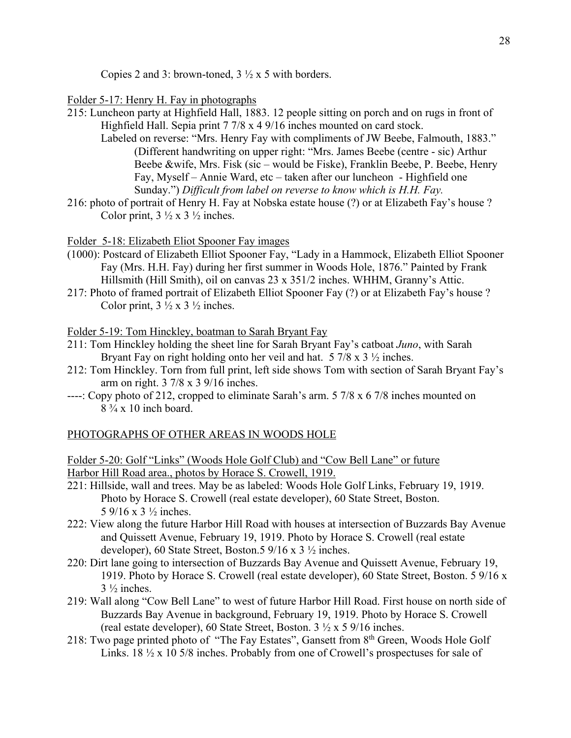Copies 2 and 3: brown-toned,  $3 \frac{1}{2}$  x 5 with borders.

### Folder 5-17: Henry H. Fay in photographs

- 215: Luncheon party at Highfield Hall, 1883. 12 people sitting on porch and on rugs in front of Highfield Hall. Sepia print 7 7/8 x 4 9/16 inches mounted on card stock.
	- Labeled on reverse: "Mrs. Henry Fay with compliments of JW Beebe, Falmouth, 1883." (Different handwriting on upper right: "Mrs. James Beebe (centre - sic) Arthur Beebe &wife, Mrs. Fisk (sic – would be Fiske), Franklin Beebe, P. Beebe, Henry Fay, Myself – Annie Ward, etc – taken after our luncheon - Highfield one Sunday.") *Difficult from label on reverse to know which is H.H. Fay.*
- 216: photo of portrait of Henry H. Fay at Nobska estate house (?) or at Elizabeth Fay's house ? Color print,  $3 \frac{1}{2} \times 3 \frac{1}{2}$  inches.

Folder 5-18: Elizabeth Eliot Spooner Fay images

- (1000): Postcard of Elizabeth Elliot Spooner Fay, "Lady in a Hammock, Elizabeth Elliot Spooner Fay (Mrs. H.H. Fay) during her first summer in Woods Hole, 1876." Painted by Frank Hillsmith (Hill Smith), oil on canvas 23 x 351/2 inches. WHHM, Granny's Attic.
- 217: Photo of framed portrait of Elizabeth Elliot Spooner Fay (?) or at Elizabeth Fay's house ? Color print,  $3 \frac{1}{2} \times 3 \frac{1}{2}$  inches.

Folder 5-19: Tom Hinckley, boatman to Sarah Bryant Fay

- 211: Tom Hinckley holding the sheet line for Sarah Bryant Fay's catboat *Juno*, with Sarah Bryant Fay on right holding onto her veil and hat.  $5\frac{7}{8}$  x  $3\frac{1}{2}$  inches.
- 212: Tom Hinckley. Torn from full print, left side shows Tom with section of Sarah Bryant Fay's arm on right. 3 7/8 x 3 9/16 inches.
- ----: Copy photo of 212, cropped to eliminate Sarah's arm. 5 7/8 x 6 7/8 inches mounted on  $8\frac{3}{4}$  x 10 inch board.

### PHOTOGRAPHS OF OTHER AREAS IN WOODS HOLE

Folder 5-20: Golf "Links" (Woods Hole Golf Club) and "Cow Bell Lane" or future Harbor Hill Road area., photos by Horace S. Crowell, 1919.

- 221: Hillside, wall and trees. May be as labeled: Woods Hole Golf Links, February 19, 1919. Photo by Horace S. Crowell (real estate developer), 60 State Street, Boston. 5 9/16 x 3 ½ inches.
- 222: View along the future Harbor Hill Road with houses at intersection of Buzzards Bay Avenue and Quissett Avenue, February 19, 1919. Photo by Horace S. Crowell (real estate developer), 60 State Street, Boston.5 9/16 x 3 ½ inches.
- 220: Dirt lane going to intersection of Buzzards Bay Avenue and Quissett Avenue, February 19, 1919. Photo by Horace S. Crowell (real estate developer), 60 State Street, Boston. 5 9/16 x  $3\frac{1}{2}$  inches.
- 219: Wall along "Cow Bell Lane" to west of future Harbor Hill Road. First house on north side of Buzzards Bay Avenue in background, February 19, 1919. Photo by Horace S. Crowell (real estate developer), 60 State Street, Boston. 3 ½ x 5 9/16 inches.
- 218: Two page printed photo of "The Fay Estates", Gansett from 8th Green, Woods Hole Golf Links. 18  $\frac{1}{2}$  x 10 5/8 inches. Probably from one of Crowell's prospectuses for sale of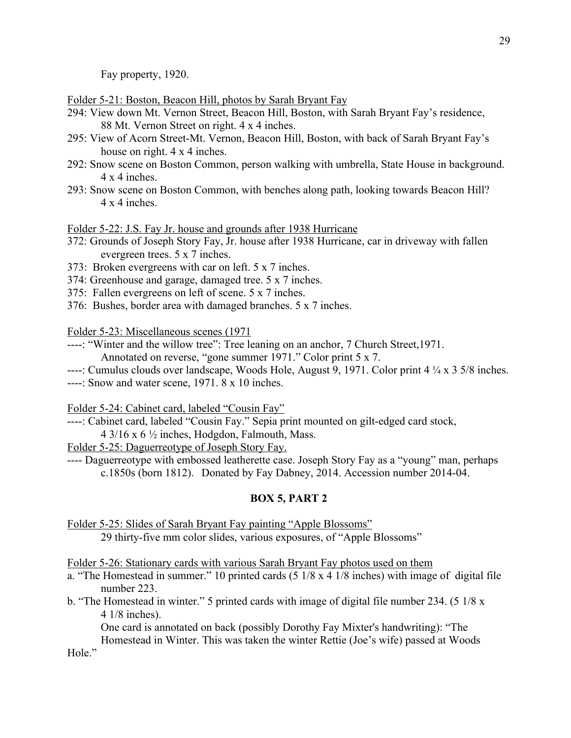Fay property, 1920.

Folder 5-21: Boston, Beacon Hill, photos by Sarah Bryant Fay

- 294: View down Mt. Vernon Street, Beacon Hill, Boston, with Sarah Bryant Fay's residence, 88 Mt. Vernon Street on right. 4 x 4 inches.
- 295: View of Acorn Street-Mt. Vernon, Beacon Hill, Boston, with back of Sarah Bryant Fay's house on right. 4 x 4 inches.
- 292: Snow scene on Boston Common, person walking with umbrella, State House in background. 4 x 4 inches.
- 293: Snow scene on Boston Common, with benches along path, looking towards Beacon Hill? 4 x 4 inches.

Folder 5-22: J.S. Fay Jr. house and grounds after 1938 Hurricane

- 372: Grounds of Joseph Story Fay, Jr. house after 1938 Hurricane, car in driveway with fallen evergreen trees. 5 x 7 inches.
- 373: Broken evergreens with car on left. 5 x 7 inches.
- 374: Greenhouse and garage, damaged tree. 5 x 7 inches.
- 375: Fallen evergreens on left of scene. 5 x 7 inches.
- 376: Bushes, border area with damaged branches. 5 x 7 inches.

Folder 5-23: Miscellaneous scenes (1971

- ----: "Winter and the willow tree": Tree leaning on an anchor, 7 Church Street,1971. Annotated on reverse, "gone summer 1971." Color print 5 x 7.
- ----: Cumulus clouds over landscape, Woods Hole, August 9, 1971. Color print 4 ¼ x 3 5/8 inches.
- ----: Snow and water scene, 1971. 8 x 10 inches.

Folder 5-24: Cabinet card, labeled "Cousin Fay"

- ----: Cabinet card, labeled "Cousin Fay." Sepia print mounted on gilt-edged card stock,
	- $4\frac{3}{16}$  x 6  $\frac{1}{2}$  inches, Hodgdon, Falmouth, Mass.

Folder 5-25: Daguerreotype of Joseph Story Fay.

---- Daguerreotype with embossed leatherette case. Joseph Story Fay as a "young" man, perhaps c.1850s (born 1812). Donated by Fay Dabney, 2014. Accession number 2014-04.

### **BOX 5, PART 2**

Folder 5-25: Slides of Sarah Bryant Fay painting "Apple Blossoms" 29 thirty-five mm color slides, various exposures, of "Apple Blossoms"

Folder 5-26: Stationary cards with various Sarah Bryant Fay photos used on them

- a. "The Homestead in summer." 10 printed cards  $(5 \frac{1}{8} \times 4 \frac{1}{8} \times 1)$  inches) with image of digital file number 223.
- b. "The Homestead in winter." 5 printed cards with image of digital file number 234. (5 1/8 x 4 1/8 inches).

One card is annotated on back (possibly Dorothy Fay Mixter's handwriting): "The

Homestead in Winter. This was taken the winter Rettie (Joe's wife) passed at Woods Hole."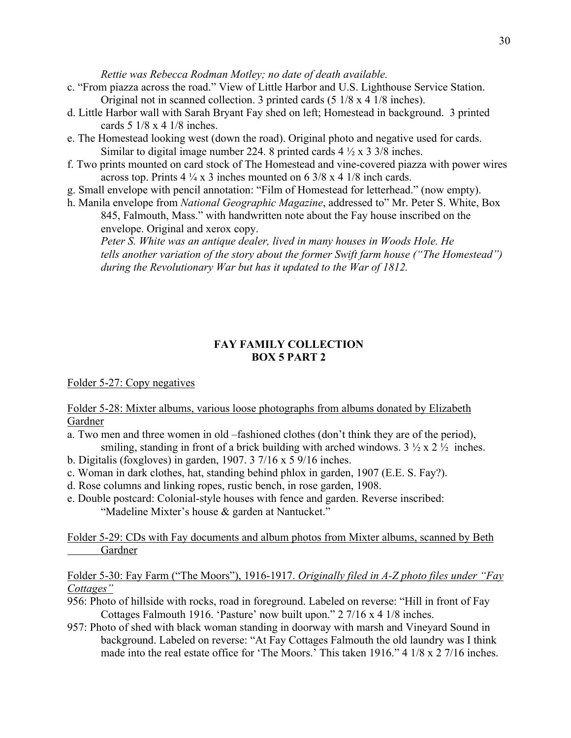*Rettie was Rebecca Rodman Motley; no date of death available.*

- c. "From piazza across the road." View of Little Harbor and U.S. Lighthouse Service Station. Original not in scanned collection. 3 printed cards (5 1/8 x 4 1/8 inches).
- d. Little Harbor wall with Sarah Bryant Fay shed on left; Homestead in background. 3 printed cards 5 1/8 x 4 1/8 inches.
- e. The Homestead looking west (down the road). Original photo and negative used for cards. Similar to digital image number 224. 8 printed cards  $4\frac{1}{2} \times 3\frac{3}{8}$  inches.
- f. Two prints mounted on card stock of The Homestead and vine-covered piazza with power wires across top. Prints  $4\frac{1}{4}$  x 3 inches mounted on 6 3/8 x 4 1/8 inch cards.
- g. Small envelope with pencil annotation: "Film of Homestead for letterhead." (now empty).
- h. Manila envelope from *National Geographic Magazine*, addressed to" Mr. Peter S. White, Box 845, Falmouth, Mass." with handwritten note about the Fay house inscribed on the envelope. Original and xerox copy.

*Peter S. White was an antique dealer, lived in many houses in Woods Hole. He tells another variation of the story about the former Swift farm house ("The Homestead") during the Revolutionary War but has it updated to the War of 1812.*

### **FAY FAMILY COLLECTION BOX 5 PART 2**

Folder 5-27: Copy negatives

Folder 5-28: Mixter albums, various loose photographs from albums donated by Elizabeth Gardner

- a. Two men and three women in old –fashioned clothes (don't think they are of the period), smiling, standing in front of a brick building with arched windows.  $3 \frac{1}{2} \times 2 \frac{1}{2}$  inches.
- b. Digitalis (foxgloves) in garden, 1907. 3 7/16 x 5 9/16 inches.
- c. Woman in dark clothes, hat, standing behind phlox in garden, 1907 (E.E. S. Fay?).
- d. Rose columns and linking ropes, rustic bench, in rose garden, 1908.
- e. Double postcard: Colonial-style houses with fence and garden. Reverse inscribed: "Madeline Mixter's house & garden at Nantucket."

Folder 5-29: CDs with Fay documents and album photos from Mixter albums, scanned by Beth Gardner

Folder 5-30: Fay Farm ("The Moors"), 1916-1917. *Originally filed in A-Z photo files under "Fay Cottages"*

- 956: Photo of hillside with rocks, road in foreground. Labeled on reverse: "Hill in front of Fay Cottages Falmouth 1916. 'Pasture' now built upon." 2 7/16 x 4 1/8 inches.
- 957: Photo of shed with black woman standing in doorway with marsh and Vineyard Sound in background. Labeled on reverse: "At Fay Cottages Falmouth the old laundry was I think made into the real estate office for 'The Moors.' This taken 1916." 4 1/8 x 2 7/16 inches.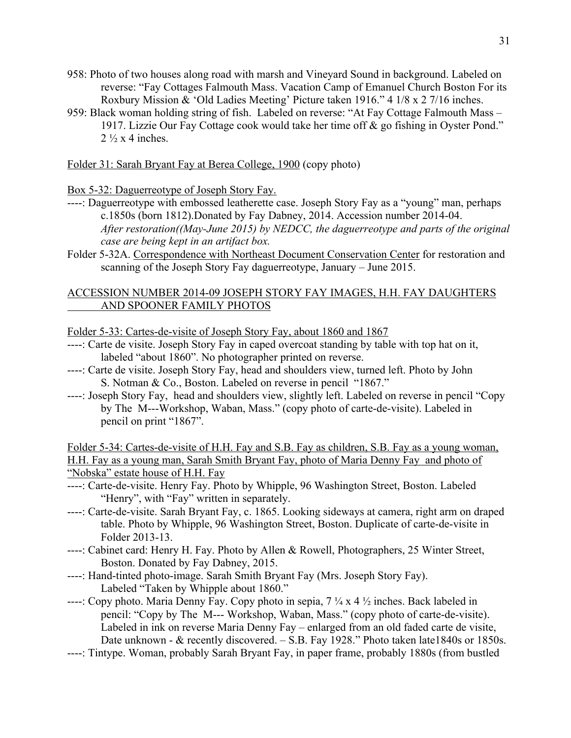- 958: Photo of two houses along road with marsh and Vineyard Sound in background. Labeled on reverse: "Fay Cottages Falmouth Mass. Vacation Camp of Emanuel Church Boston For its Roxbury Mission & 'Old Ladies Meeting' Picture taken 1916." 4 1/8 x 2 7/16 inches.
- 959: Black woman holding string of fish. Labeled on reverse: "At Fay Cottage Falmouth Mass 1917. Lizzie Our Fay Cottage cook would take her time off & go fishing in Oyster Pond."  $2\frac{1}{2}$  x 4 inches.

Folder 31: Sarah Bryant Fay at Berea College, 1900 (copy photo)

Box 5-32: Daguerreotype of Joseph Story Fay.

- ----: Daguerreotype with embossed leatherette case. Joseph Story Fay as a "young" man, perhaps c.1850s (born 1812).Donated by Fay Dabney, 2014. Accession number 2014-04. *After restoration((May-June 2015) by NEDCC, the daguerreotype and parts of the original case are being kept in an artifact box.*
- Folder 5-32A. Correspondence with Northeast Document Conservation Center for restoration and scanning of the Joseph Story Fay daguerreotype, January – June 2015.

### ACCESSION NUMBER 2014-09 JOSEPH STORY FAY IMAGES, H.H. FAY DAUGHTERS AND SPOONER FAMILY PHOTOS

Folder 5-33: Cartes-de-visite of Joseph Story Fay, about 1860 and 1867

- ----: Carte de visite. Joseph Story Fay in caped overcoat standing by table with top hat on it, labeled "about 1860". No photographer printed on reverse.
- ----: Carte de visite. Joseph Story Fay, head and shoulders view, turned left. Photo by John S. Notman & Co., Boston. Labeled on reverse in pencil "1867."
- ----: Joseph Story Fay, head and shoulders view, slightly left. Labeled on reverse in pencil "Copy by The M---Workshop, Waban, Mass." (copy photo of carte-de-visite). Labeled in pencil on print "1867".

Folder 5-34: Cartes-de-visite of H.H. Fay and S.B. Fay as children, S.B. Fay as a young woman, H.H. Fay as a young man, Sarah Smith Bryant Fay, photo of Maria Denny Fay and photo of "Nobska" estate house of H.H. Fay

- ----: Carte-de-visite. Henry Fay. Photo by Whipple, 96 Washington Street, Boston. Labeled "Henry", with "Fay" written in separately.
- ----: Carte-de-visite. Sarah Bryant Fay, c. 1865. Looking sideways at camera, right arm on draped table. Photo by Whipple, 96 Washington Street, Boston. Duplicate of carte-de-visite in Folder 2013-13.
- ----: Cabinet card: Henry H. Fay. Photo by Allen & Rowell, Photographers, 25 Winter Street, Boston. Donated by Fay Dabney, 2015.
- ----: Hand-tinted photo-image. Sarah Smith Bryant Fay (Mrs. Joseph Story Fay). Labeled "Taken by Whipple about 1860."
- ----: Copy photo. Maria Denny Fay. Copy photo in sepia,  $7\frac{1}{4}$  x 4  $\frac{1}{2}$  inches. Back labeled in pencil: "Copy by The M--- Workshop, Waban, Mass." (copy photo of carte-de-visite). Labeled in ink on reverse Maria Denny Fay – enlarged from an old faded carte de visite, Date unknown - & recently discovered. – S.B. Fay 1928." Photo taken late1840s or 1850s.
- ----: Tintype. Woman, probably Sarah Bryant Fay, in paper frame, probably 1880s (from bustled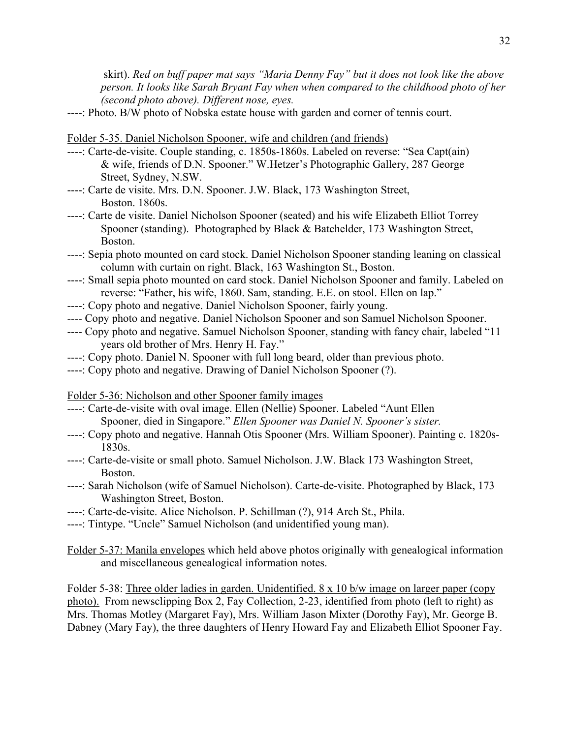skirt). *Red on buff paper mat says "Maria Denny Fay" but it does not look like the above person. It looks like Sarah Bryant Fay when when compared to the childhood photo of her (second photo above). Different nose, eyes.*

----: Photo. B/W photo of Nobska estate house with garden and corner of tennis court.

#### Folder 5-35. Daniel Nicholson Spooner, wife and children (and friends)

- ----: Carte-de-visite. Couple standing, c. 1850s-1860s. Labeled on reverse: "Sea Capt(ain) & wife, friends of D.N. Spooner." W.Hetzer's Photographic Gallery, 287 George Street, Sydney, N.SW.
- ----: Carte de visite. Mrs. D.N. Spooner. J.W. Black, 173 Washington Street, Boston. 1860s.
- ----: Carte de visite. Daniel Nicholson Spooner (seated) and his wife Elizabeth Elliot Torrey Spooner (standing). Photographed by Black & Batchelder, 173 Washington Street, Boston.
- ----: Sepia photo mounted on card stock. Daniel Nicholson Spooner standing leaning on classical column with curtain on right. Black, 163 Washington St., Boston.
- ----: Small sepia photo mounted on card stock. Daniel Nicholson Spooner and family. Labeled on reverse: "Father, his wife, 1860. Sam, standing. E.E. on stool. Ellen on lap."
- ----: Copy photo and negative. Daniel Nicholson Spooner, fairly young.
- ---- Copy photo and negative. Daniel Nicholson Spooner and son Samuel Nicholson Spooner.
- ---- Copy photo and negative. Samuel Nicholson Spooner, standing with fancy chair, labeled "11 years old brother of Mrs. Henry H. Fay."
- ----: Copy photo. Daniel N. Spooner with full long beard, older than previous photo.
- ----: Copy photo and negative. Drawing of Daniel Nicholson Spooner (?).

Folder 5-36: Nicholson and other Spooner family images

- ----: Carte-de-visite with oval image. Ellen (Nellie) Spooner. Labeled "Aunt Ellen Spooner, died in Singapore." *Ellen Spooner was Daniel N. Spooner's sister.*
- ----: Copy photo and negative. Hannah Otis Spooner (Mrs. William Spooner). Painting c. 1820s-1830s.
- ----: Carte-de-visite or small photo. Samuel Nicholson. J.W. Black 173 Washington Street, Boston.
- ----: Sarah Nicholson (wife of Samuel Nicholson). Carte-de-visite. Photographed by Black, 173 Washington Street, Boston.
- ----: Carte-de-visite. Alice Nicholson. P. Schillman (?), 914 Arch St., Phila.
- ----: Tintype. "Uncle" Samuel Nicholson (and unidentified young man).
- Folder 5-37: Manila envelopes which held above photos originally with genealogical information and miscellaneous genealogical information notes.

Folder 5-38: Three older ladies in garden. Unidentified. 8 x 10 b/w image on larger paper (copy photo). From newsclipping Box 2, Fay Collection, 2-23, identified from photo (left to right) as Mrs. Thomas Motley (Margaret Fay), Mrs. William Jason Mixter (Dorothy Fay), Mr. George B. Dabney (Mary Fay), the three daughters of Henry Howard Fay and Elizabeth Elliot Spooner Fay.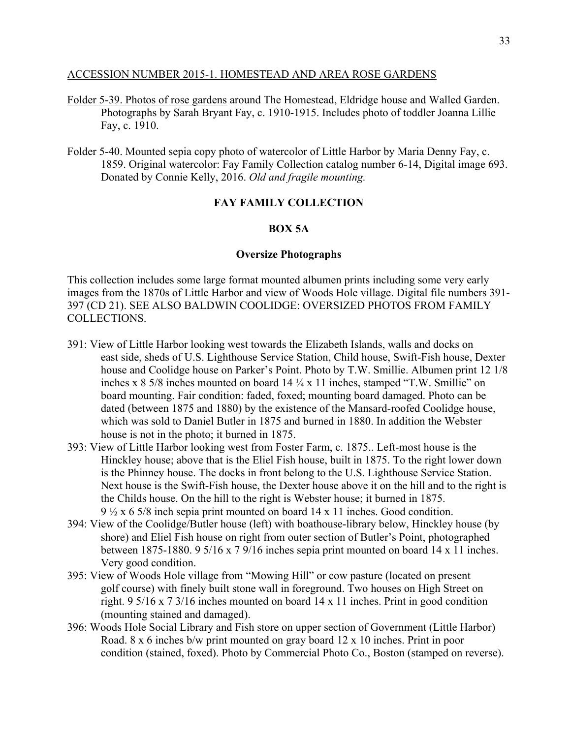#### ACCESSION NUMBER 2015-1. HOMESTEAD AND AREA ROSE GARDENS

- Folder 5-39. Photos of rose gardens around The Homestead, Eldridge house and Walled Garden. Photographs by Sarah Bryant Fay, c. 1910-1915. Includes photo of toddler Joanna Lillie Fay, c. 1910.
- Folder 5-40. Mounted sepia copy photo of watercolor of Little Harbor by Maria Denny Fay, c. 1859. Original watercolor: Fay Family Collection catalog number 6-14, Digital image 693. Donated by Connie Kelly, 2016. *Old and fragile mounting.*

### **FAY FAMILY COLLECTION**

### **BOX 5A**

#### **Oversize Photographs**

This collection includes some large format mounted albumen prints including some very early images from the 1870s of Little Harbor and view of Woods Hole village. Digital file numbers 391- 397 (CD 21). SEE ALSO BALDWIN COOLIDGE: OVERSIZED PHOTOS FROM FAMILY COLLECTIONS.

- 391: View of Little Harbor looking west towards the Elizabeth Islands, walls and docks on east side, sheds of U.S. Lighthouse Service Station, Child house, Swift-Fish house, Dexter house and Coolidge house on Parker's Point. Photo by T.W. Smillie. Albumen print 12 1/8 inches x 8 5/8 inches mounted on board 14 ¼ x 11 inches, stamped "T.W. Smillie" on board mounting. Fair condition: faded, foxed; mounting board damaged. Photo can be dated (between 1875 and 1880) by the existence of the Mansard-roofed Coolidge house, which was sold to Daniel Butler in 1875 and burned in 1880. In addition the Webster house is not in the photo; it burned in 1875.
- 393: View of Little Harbor looking west from Foster Farm, c. 1875.. Left-most house is the Hinckley house; above that is the Eliel Fish house, built in 1875. To the right lower down is the Phinney house. The docks in front belong to the U.S. Lighthouse Service Station. Next house is the Swift-Fish house, the Dexter house above it on the hill and to the right is the Childs house. On the hill to the right is Webster house; it burned in 1875. 9 ½ x 6 5/8 inch sepia print mounted on board 14 x 11 inches. Good condition.
- 394: View of the Coolidge/Butler house (left) with boathouse-library below, Hinckley house (by shore) and Eliel Fish house on right from outer section of Butler's Point, photographed between 1875-1880. 9 5/16 x 7 9/16 inches sepia print mounted on board 14 x 11 inches. Very good condition.
- 395: View of Woods Hole village from "Mowing Hill" or cow pasture (located on present golf course) with finely built stone wall in foreground. Two houses on High Street on right. 9 5/16 x 7 3/16 inches mounted on board 14 x 11 inches. Print in good condition (mounting stained and damaged).
- 396: Woods Hole Social Library and Fish store on upper section of Government (Little Harbor) Road. 8 x 6 inches b/w print mounted on gray board 12 x 10 inches. Print in poor condition (stained, foxed). Photo by Commercial Photo Co., Boston (stamped on reverse).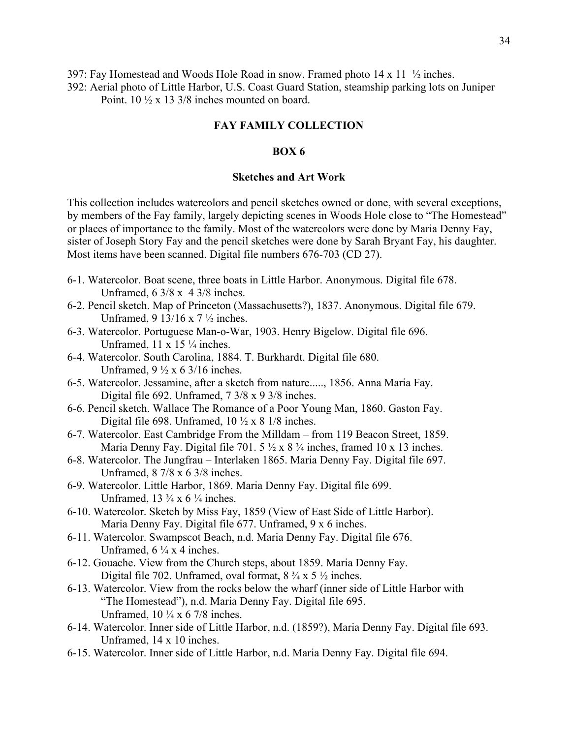397: Fay Homestead and Woods Hole Road in snow. Framed photo 14 x 11 ½ inches.

392: Aerial photo of Little Harbor, U.S. Coast Guard Station, steamship parking lots on Juniper

Point. 10 ½ x 13 3/8 inches mounted on board.

### **FAY FAMILY COLLECTION**

### **BOX 6**

#### **Sketches and Art Work**

This collection includes watercolors and pencil sketches owned or done, with several exceptions, by members of the Fay family, largely depicting scenes in Woods Hole close to "The Homestead" or places of importance to the family. Most of the watercolors were done by Maria Denny Fay, sister of Joseph Story Fay and the pencil sketches were done by Sarah Bryant Fay, his daughter. Most items have been scanned. Digital file numbers 676-703 (CD 27).

- 6-1. Watercolor. Boat scene, three boats in Little Harbor. Anonymous. Digital file 678. Unframed, 6 3/8 x 4 3/8 inches.
- 6-2. Pencil sketch. Map of Princeton (Massachusetts?), 1837. Anonymous. Digital file 679. Unframed, 9 13/16 x 7 ½ inches.
- 6-3. Watercolor. Portuguese Man-o-War, 1903. Henry Bigelow. Digital file 696. Unframed,  $11 \times 15$  ¼ inches.
- 6-4. Watercolor. South Carolina, 1884. T. Burkhardt. Digital file 680. Unframed,  $9\frac{1}{2} \times 6\frac{3}{16}$  inches.
- 6-5. Watercolor. Jessamine, after a sketch from nature....., 1856. Anna Maria Fay. Digital file 692. Unframed, 7 3/8 x 9 3/8 inches.
- 6-6. Pencil sketch. Wallace The Romance of a Poor Young Man, 1860. Gaston Fay. Digital file 698. Unframed,  $10 \frac{1}{2} \times 8 \frac{1}{8}$  inches.
- 6-7. Watercolor. East Cambridge From the Milldam from 119 Beacon Street, 1859. Maria Denny Fay. Digital file 701. 5  $\frac{1}{2}$  x 8  $\frac{3}{4}$  inches, framed 10 x 13 inches.
- 6-8. Watercolor. The Jungfrau Interlaken 1865. Maria Denny Fay. Digital file 697. Unframed, 8 7/8 x 6 3/8 inches.
- 6-9. Watercolor. Little Harbor, 1869. Maria Denny Fay. Digital file 699. Unframed,  $13 \frac{3}{4} \times 6 \frac{1}{4}$  inches.
- 6-10. Watercolor. Sketch by Miss Fay, 1859 (View of East Side of Little Harbor). Maria Denny Fay. Digital file 677. Unframed, 9 x 6 inches.
- 6-11. Watercolor. Swampscot Beach, n.d. Maria Denny Fay. Digital file 676. Unframed,  $6\frac{1}{4}x$  4 inches.
- 6-12. Gouache. View from the Church steps, about 1859. Maria Denny Fay. Digital file 702. Unframed, oval format,  $8\frac{3}{4} \times 5\frac{1}{2}$  inches.
- 6-13. Watercolor. View from the rocks below the wharf (inner side of Little Harbor with "The Homestead"), n.d. Maria Denny Fay. Digital file 695. Unframed, 10 ¼ x 6 7/8 inches.
- 6-14. Watercolor. Inner side of Little Harbor, n.d. (1859?), Maria Denny Fay. Digital file 693. Unframed, 14 x 10 inches.
- 6-15. Watercolor. Inner side of Little Harbor, n.d. Maria Denny Fay. Digital file 694.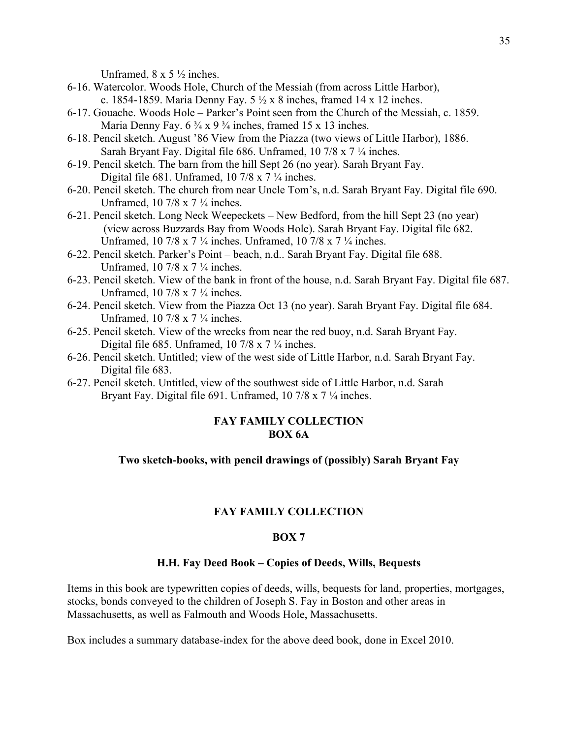Unframed,  $8 \times 5 \frac{1}{2}$  inches.

- 6-16. Watercolor. Woods Hole, Church of the Messiah (from across Little Harbor), c. 1854-1859. Maria Denny Fay.  $5\frac{1}{2} \times 8$  inches, framed 14 x 12 inches.
- 6-17. Gouache. Woods Hole Parker's Point seen from the Church of the Messiah, c. 1859. Maria Denny Fay.  $6\frac{3}{4} \times 9\frac{3}{4}$  inches, framed 15 x 13 inches.
- 6-18. Pencil sketch. August '86 View from the Piazza (two views of Little Harbor), 1886. Sarah Bryant Fay. Digital file 686. Unframed, 10 7/8 x 7 ¼ inches.
- 6-19. Pencil sketch. The barn from the hill Sept 26 (no year). Sarah Bryant Fay. Digital file 681. Unframed, 10 7/8 x 7  $\frac{1}{4}$  inches.
- 6-20. Pencil sketch. The church from near Uncle Tom's, n.d. Sarah Bryant Fay. Digital file 690. Unframed, 10 7/8 x 7 ¼ inches.
- 6-21. Pencil sketch. Long Neck Weepeckets New Bedford, from the hill Sept 23 (no year) (view across Buzzards Bay from Woods Hole). Sarah Bryant Fay. Digital file 682. Unframed, 10 7/8 x 7 ¼ inches. Unframed, 10 7/8 x 7 ¼ inches.
- 6-22. Pencil sketch. Parker's Point beach, n.d.. Sarah Bryant Fay. Digital file 688. Unframed, 10 7/8 x 7 ¼ inches.
- 6-23. Pencil sketch. View of the bank in front of the house, n.d. Sarah Bryant Fay. Digital file 687. Unframed, 10 7/8 x 7 ¼ inches.
- 6-24. Pencil sketch. View from the Piazza Oct 13 (no year). Sarah Bryant Fay. Digital file 684. Unframed, 10 7/8 x 7 ¼ inches.
- 6-25. Pencil sketch. View of the wrecks from near the red buoy, n.d. Sarah Bryant Fay. Digital file 685. Unframed, 10 7/8 x 7  $\frac{1}{4}$  inches.
- 6-26. Pencil sketch. Untitled; view of the west side of Little Harbor, n.d. Sarah Bryant Fay. Digital file 683.
- 6-27. Pencil sketch. Untitled, view of the southwest side of Little Harbor, n.d. Sarah Bryant Fay. Digital file 691. Unframed, 10 7/8 x 7  $\frac{1}{4}$  inches.

### **FAY FAMILY COLLECTION BOX 6A**

### **Two sketch-books, with pencil drawings of (possibly) Sarah Bryant Fay**

### **FAY FAMILY COLLECTION**

#### **BOX 7**

#### **H.H. Fay Deed Book – Copies of Deeds, Wills, Bequests**

Items in this book are typewritten copies of deeds, wills, bequests for land, properties, mortgages, stocks, bonds conveyed to the children of Joseph S. Fay in Boston and other areas in Massachusetts, as well as Falmouth and Woods Hole, Massachusetts.

Box includes a summary database-index for the above deed book, done in Excel 2010.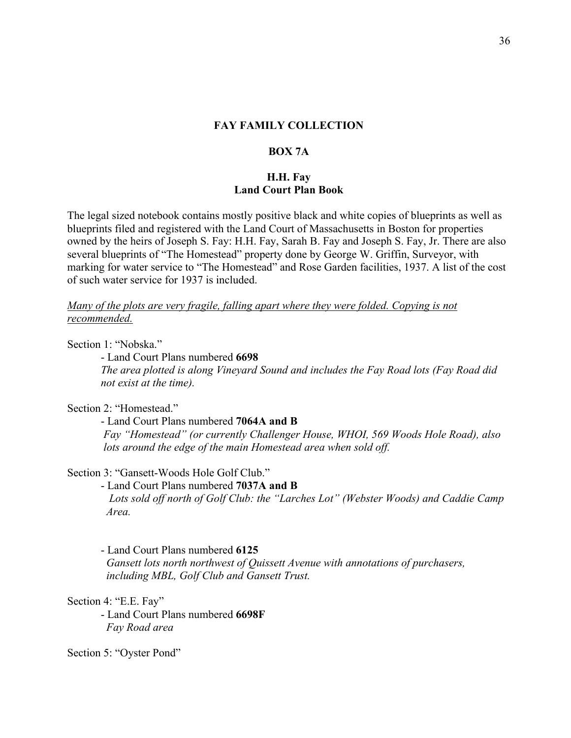### **BOX 7A**

### **H.H. Fay Land Court Plan Book**

The legal sized notebook contains mostly positive black and white copies of blueprints as well as blueprints filed and registered with the Land Court of Massachusetts in Boston for properties owned by the heirs of Joseph S. Fay: H.H. Fay, Sarah B. Fay and Joseph S. Fay, Jr. There are also several blueprints of "The Homestead" property done by George W. Griffin, Surveyor, with marking for water service to "The Homestead" and Rose Garden facilities, 1937. A list of the cost of such water service for 1937 is included.

### *Many of the plots are very fragile, falling apart where they were folded. Copying is not recommended.*

Section 1: "Nobska."

- Land Court Plans numbered **6698** *The area plotted is along Vineyard Sound and includes the Fay Road lots (Fay Road did not exist at the time).*

Section 2: "Homestead."

- Land Court Plans numbered **7064A and B**

*Fay "Homestead" (or currently Challenger House, WHOI, 569 Woods Hole Road), also lots around the edge of the main Homestead area when sold off.*

### Section 3: "Gansett-Woods Hole Golf Club."

- Land Court Plans numbered **7037A and B** *Lots sold off north of Golf Club: the "Larches Lot" (Webster Woods) and Caddie Camp Area.*

- Land Court Plans numbered **6125** *Gansett lots north northwest of Quissett Avenue with annotations of purchasers, including MBL, Golf Club and Gansett Trust.*

Section 4: "E.E. Fay"

- Land Court Plans numbered **6698F** *Fay Road area*

Section 5: "Oyster Pond"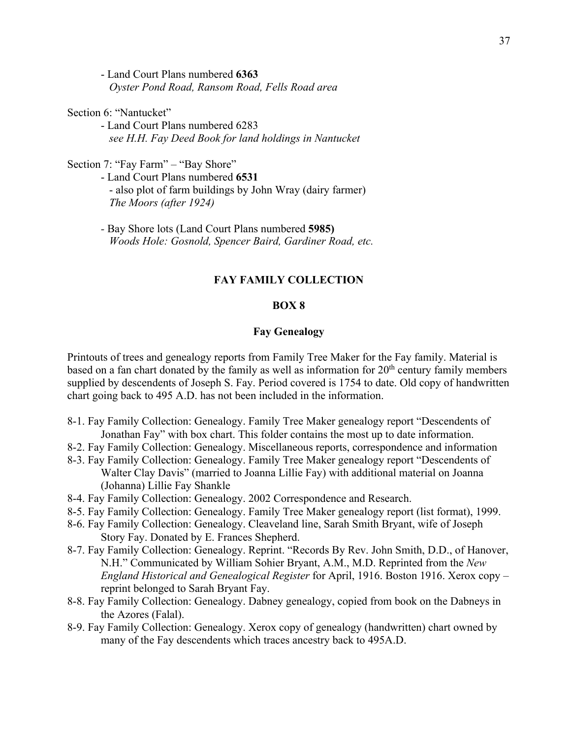- Land Court Plans numbered **6363** *Oyster Pond Road, Ransom Road, Fells Road area*

### Section 6: "Nantucket"

- Land Court Plans numbered 6283 *see H.H. Fay Deed Book for land holdings in Nantucket*

Section 7: "Fay Farm" – "Bay Shore"

- Land Court Plans numbered **6531** - also plot of farm buildings by John Wray (dairy farmer) *The Moors (after 1924)*

*-* Bay Shore lots (Land Court Plans numbered **5985)** *Woods Hole: Gosnold, Spencer Baird, Gardiner Road, etc.*

### **FAY FAMILY COLLECTION**

#### **BOX 8**

#### **Fay Genealogy**

Printouts of trees and genealogy reports from Family Tree Maker for the Fay family. Material is based on a fan chart donated by the family as well as information for 20<sup>th</sup> century family members supplied by descendents of Joseph S. Fay. Period covered is 1754 to date. Old copy of handwritten chart going back to 495 A.D. has not been included in the information.

- 8-1. Fay Family Collection: Genealogy. Family Tree Maker genealogy report "Descendents of Jonathan Fay" with box chart. This folder contains the most up to date information.
- 8-2. Fay Family Collection: Genealogy. Miscellaneous reports, correspondence and information
- 8-3. Fay Family Collection: Genealogy. Family Tree Maker genealogy report "Descendents of Walter Clay Davis" (married to Joanna Lillie Fay) with additional material on Joanna (Johanna) Lillie Fay Shankle
- 8-4. Fay Family Collection: Genealogy. 2002 Correspondence and Research.
- 8-5. Fay Family Collection: Genealogy. Family Tree Maker genealogy report (list format), 1999.
- 8-6. Fay Family Collection: Genealogy. Cleaveland line, Sarah Smith Bryant, wife of Joseph Story Fay. Donated by E. Frances Shepherd.
- 8-7. Fay Family Collection: Genealogy. Reprint. "Records By Rev. John Smith, D.D., of Hanover, N.H." Communicated by William Sohier Bryant, A.M., M.D. Reprinted from the *New England Historical and Genealogical Register* for April, 1916. Boston 1916. Xerox copy – reprint belonged to Sarah Bryant Fay.
- 8-8. Fay Family Collection: Genealogy. Dabney genealogy, copied from book on the Dabneys in the Azores (Falal).
- 8-9. Fay Family Collection: Genealogy. Xerox copy of genealogy (handwritten) chart owned by many of the Fay descendents which traces ancestry back to 495A.D.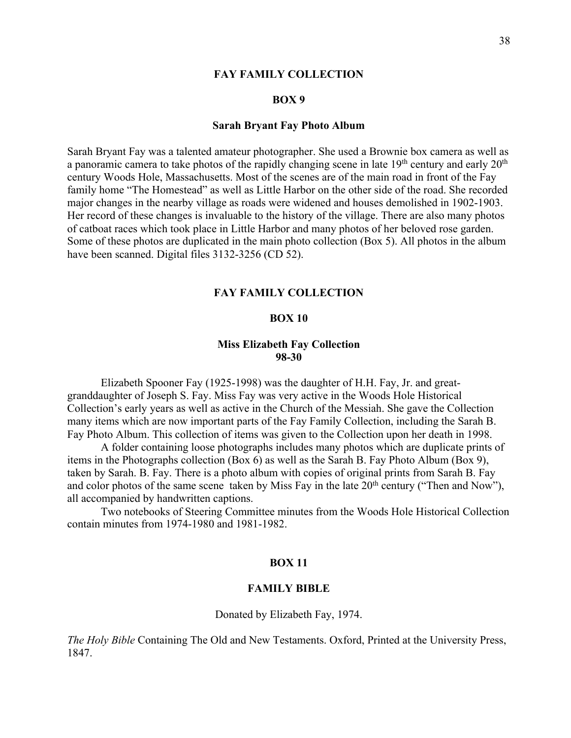#### **BOX 9**

#### **Sarah Bryant Fay Photo Album**

Sarah Bryant Fay was a talented amateur photographer. She used a Brownie box camera as well as a panoramic camera to take photos of the rapidly changing scene in late  $19<sup>th</sup>$  century and early  $20<sup>th</sup>$ century Woods Hole, Massachusetts. Most of the scenes are of the main road in front of the Fay family home "The Homestead" as well as Little Harbor on the other side of the road. She recorded major changes in the nearby village as roads were widened and houses demolished in 1902-1903. Her record of these changes is invaluable to the history of the village. There are also many photos of catboat races which took place in Little Harbor and many photos of her beloved rose garden. Some of these photos are duplicated in the main photo collection (Box 5). All photos in the album have been scanned. Digital files 3132-3256 (CD 52).

#### **FAY FAMILY COLLECTION**

#### **BOX 10**

### **Miss Elizabeth Fay Collection 98-30**

Elizabeth Spooner Fay (1925-1998) was the daughter of H.H. Fay, Jr. and greatgranddaughter of Joseph S. Fay. Miss Fay was very active in the Woods Hole Historical Collection's early years as well as active in the Church of the Messiah. She gave the Collection many items which are now important parts of the Fay Family Collection, including the Sarah B. Fay Photo Album. This collection of items was given to the Collection upon her death in 1998.

A folder containing loose photographs includes many photos which are duplicate prints of items in the Photographs collection (Box 6) as well as the Sarah B. Fay Photo Album (Box 9), taken by Sarah. B. Fay. There is a photo album with copies of original prints from Sarah B. Fay and color photos of the same scene taken by Miss Fay in the late 20<sup>th</sup> century ("Then and Now"), all accompanied by handwritten captions.

Two notebooks of Steering Committee minutes from the Woods Hole Historical Collection contain minutes from 1974-1980 and 1981-1982.

#### **BOX 11**

#### **FAMILY BIBLE**

Donated by Elizabeth Fay, 1974.

*The Holy Bible* Containing The Old and New Testaments. Oxford, Printed at the University Press, 1847.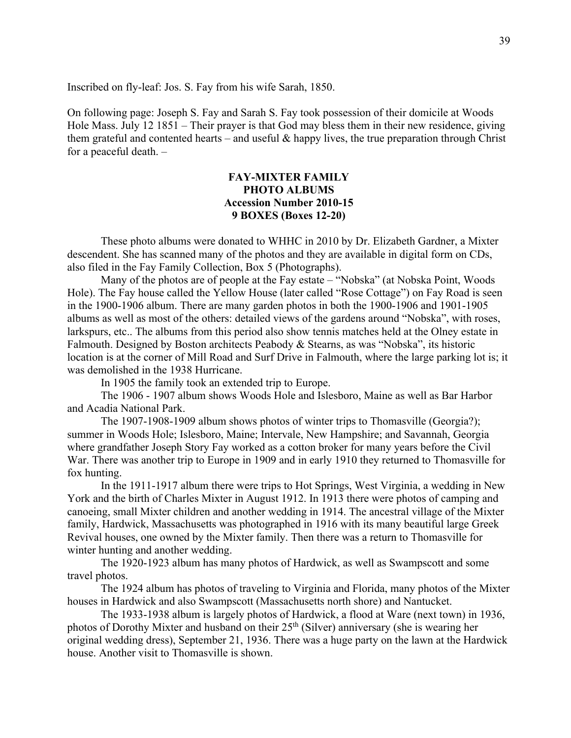Inscribed on fly-leaf: Jos. S. Fay from his wife Sarah, 1850.

On following page: Joseph S. Fay and Sarah S. Fay took possession of their domicile at Woods Hole Mass. July 12 1851 – Their prayer is that God may bless them in their new residence, giving them grateful and contented hearts – and useful  $\&$  happy lives, the true preparation through Christ for a peaceful death. –

### **FAY-MIXTER FAMILY PHOTO ALBUMS Accession Number 2010-15 9 BOXES (Boxes 12-20)**

These photo albums were donated to WHHC in 2010 by Dr. Elizabeth Gardner, a Mixter descendent. She has scanned many of the photos and they are available in digital form on CDs, also filed in the Fay Family Collection, Box 5 (Photographs).

Many of the photos are of people at the Fay estate – "Nobska" (at Nobska Point, Woods Hole). The Fay house called the Yellow House (later called "Rose Cottage") on Fay Road is seen in the 1900-1906 album. There are many garden photos in both the 1900-1906 and 1901-1905 albums as well as most of the others: detailed views of the gardens around "Nobska", with roses, larkspurs, etc.. The albums from this period also show tennis matches held at the Olney estate in Falmouth. Designed by Boston architects Peabody & Stearns, as was "Nobska", its historic location is at the corner of Mill Road and Surf Drive in Falmouth, where the large parking lot is; it was demolished in the 1938 Hurricane.

In 1905 the family took an extended trip to Europe.

The 1906 - 1907 album shows Woods Hole and Islesboro, Maine as well as Bar Harbor and Acadia National Park.

The 1907-1908-1909 album shows photos of winter trips to Thomasville (Georgia?); summer in Woods Hole; Islesboro, Maine; Intervale, New Hampshire; and Savannah, Georgia where grandfather Joseph Story Fay worked as a cotton broker for many years before the Civil War. There was another trip to Europe in 1909 and in early 1910 they returned to Thomasville for fox hunting.

In the 1911-1917 album there were trips to Hot Springs, West Virginia, a wedding in New York and the birth of Charles Mixter in August 1912. In 1913 there were photos of camping and canoeing, small Mixter children and another wedding in 1914. The ancestral village of the Mixter family, Hardwick, Massachusetts was photographed in 1916 with its many beautiful large Greek Revival houses, one owned by the Mixter family. Then there was a return to Thomasville for winter hunting and another wedding.

The 1920-1923 album has many photos of Hardwick, as well as Swampscott and some travel photos.

The 1924 album has photos of traveling to Virginia and Florida, many photos of the Mixter houses in Hardwick and also Swampscott (Massachusetts north shore) and Nantucket.

The 1933-1938 album is largely photos of Hardwick, a flood at Ware (next town) in 1936, photos of Dorothy Mixter and husband on their 25th (Silver) anniversary (she is wearing her original wedding dress), September 21, 1936. There was a huge party on the lawn at the Hardwick house. Another visit to Thomasville is shown.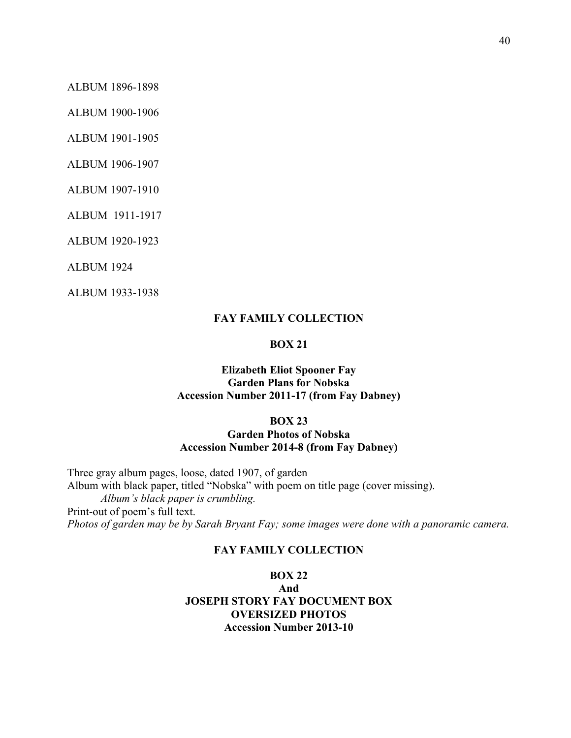ALBUM 1896-1898

ALBUM 1900-1906

ALBUM 1901-1905

ALBUM 1906-1907

ALBUM 1907-1910

ALBUM 1911-1917

ALBUM 1920-1923

ALBUM 1924

ALBUM 1933-1938

### **FAY FAMILY COLLECTION**

### **BOX 21**

### **Elizabeth Eliot Spooner Fay Garden Plans for Nobska Accession Number 2011-17 (from Fay Dabney)**

#### **BOX 23**

### **Garden Photos of Nobska Accession Number 2014-8 (from Fay Dabney)**

Three gray album pages, loose, dated 1907, of garden Album with black paper, titled "Nobska" with poem on title page (cover missing). *Album's black paper is crumbling.* Print-out of poem's full text. *Photos of garden may be by Sarah Bryant Fay; some images were done with a panoramic camera.*

### **FAY FAMILY COLLECTION**

# **BOX 22**

**And JOSEPH STORY FAY DOCUMENT BOX OVERSIZED PHOTOS Accession Number 2013-10**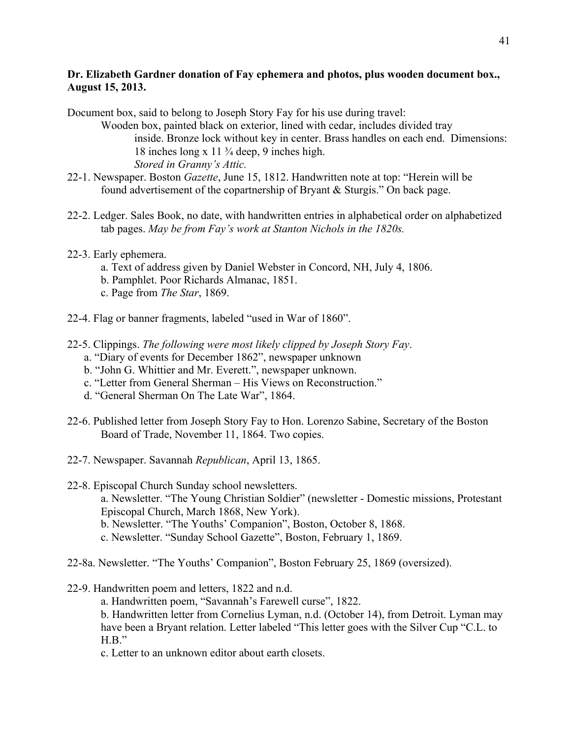### **Dr. Elizabeth Gardner donation of Fay ephemera and photos, plus wooden document box., August 15, 2013.**

- Document box, said to belong to Joseph Story Fay for his use during travel: Wooden box, painted black on exterior, lined with cedar, includes divided tray inside. Bronze lock without key in center. Brass handles on each end. Dimensions: 18 inches long x 11 ¾ deep, 9 inches high. *Stored in Granny's Attic.*
- 22-1. Newspaper. Boston *Gazette*, June 15, 1812. Handwritten note at top: "Herein will be found advertisement of the copartnership of Bryant & Sturgis." On back page.
- 22-2. Ledger. Sales Book, no date, with handwritten entries in alphabetical order on alphabetized tab pages. *May be from Fay's work at Stanton Nichols in the 1820s.*
- 22-3. Early ephemera.
	- a. Text of address given by Daniel Webster in Concord, NH, July 4, 1806.
	- b. Pamphlet. Poor Richards Almanac, 1851.
	- c. Page from *The Star*, 1869.
- 22-4. Flag or banner fragments, labeled "used in War of 1860".
- 22-5. Clippings. *The following were most likely clipped by Joseph Story Fay*.
	- a. "Diary of events for December 1862", newspaper unknown
	- b. "John G. Whittier and Mr. Everett.", newspaper unknown.
	- c. "Letter from General Sherman His Views on Reconstruction."
	- d. "General Sherman On The Late War", 1864.
- 22-6. Published letter from Joseph Story Fay to Hon. Lorenzo Sabine, Secretary of the Boston Board of Trade, November 11, 1864. Two copies.
- 22-7. Newspaper. Savannah *Republican*, April 13, 1865.
- 22-8. Episcopal Church Sunday school newsletters.
	- a. Newsletter. "The Young Christian Soldier" (newsletter Domestic missions, Protestant Episcopal Church, March 1868, New York).
	- b. Newsletter. "The Youths' Companion", Boston, October 8, 1868.
	- c. Newsletter. "Sunday School Gazette", Boston, February 1, 1869.
- 22-8a. Newsletter. "The Youths' Companion", Boston February 25, 1869 (oversized).
- 22-9. Handwritten poem and letters, 1822 and n.d.
	- a. Handwritten poem, "Savannah's Farewell curse", 1822.

b. Handwritten letter from Cornelius Lyman, n.d. (October 14), from Detroit. Lyman may have been a Bryant relation. Letter labeled "This letter goes with the Silver Cup "C.L. to  $H.B."$ 

c. Letter to an unknown editor about earth closets.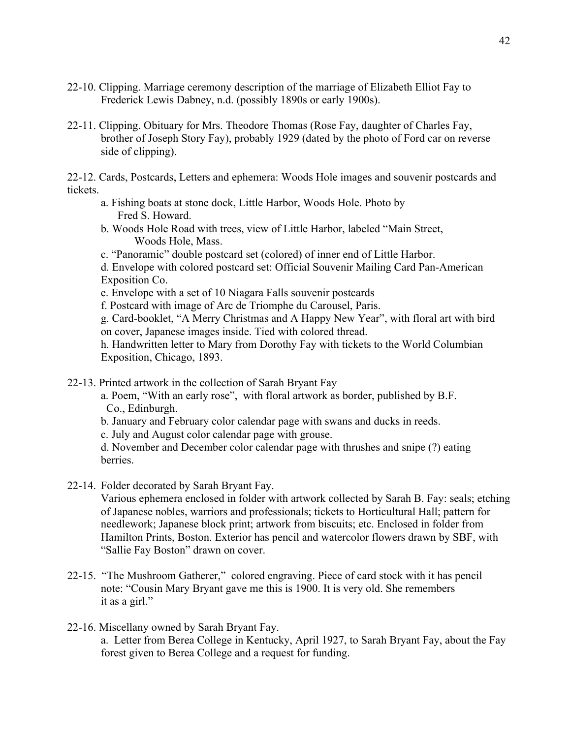- 22-10. Clipping. Marriage ceremony description of the marriage of Elizabeth Elliot Fay to Frederick Lewis Dabney, n.d. (possibly 1890s or early 1900s).
- 22-11. Clipping. Obituary for Mrs. Theodore Thomas (Rose Fay, daughter of Charles Fay, brother of Joseph Story Fay), probably 1929 (dated by the photo of Ford car on reverse side of clipping).

22-12. Cards, Postcards, Letters and ephemera: Woods Hole images and souvenir postcards and tickets.

- a. Fishing boats at stone dock, Little Harbor, Woods Hole. Photo by Fred S. Howard.
- b. Woods Hole Road with trees, view of Little Harbor, labeled "Main Street, Woods Hole, Mass.
- c. "Panoramic" double postcard set (colored) of inner end of Little Harbor.

d. Envelope with colored postcard set: Official Souvenir Mailing Card Pan-American Exposition Co.

e. Envelope with a set of 10 Niagara Falls souvenir postcards

f. Postcard with image of Arc de Triomphe du Carousel, Paris.

g. Card-booklet, "A Merry Christmas and A Happy New Year", with floral art with bird on cover, Japanese images inside. Tied with colored thread.

h. Handwritten letter to Mary from Dorothy Fay with tickets to the World Columbian Exposition, Chicago, 1893.

22-13. Printed artwork in the collection of Sarah Bryant Fay

a. Poem, "With an early rose", with floral artwork as border, published by B.F. Co., Edinburgh.

b. January and February color calendar page with swans and ducks in reeds.

c. July and August color calendar page with grouse.

d. November and December color calendar page with thrushes and snipe (?) eating berries.

22-14. Folder decorated by Sarah Bryant Fay.

Various ephemera enclosed in folder with artwork collected by Sarah B. Fay: seals; etching of Japanese nobles, warriors and professionals; tickets to Horticultural Hall; pattern for needlework; Japanese block print; artwork from biscuits; etc. Enclosed in folder from Hamilton Prints, Boston. Exterior has pencil and watercolor flowers drawn by SBF, with "Sallie Fay Boston" drawn on cover.

- 22-15. "The Mushroom Gatherer," colored engraving. Piece of card stock with it has pencil note: "Cousin Mary Bryant gave me this is 1900. It is very old. She remembers it as a girl."
- 22-16. Miscellany owned by Sarah Bryant Fay. a. Letter from Berea College in Kentucky, April 1927, to Sarah Bryant Fay, about the Fay forest given to Berea College and a request for funding.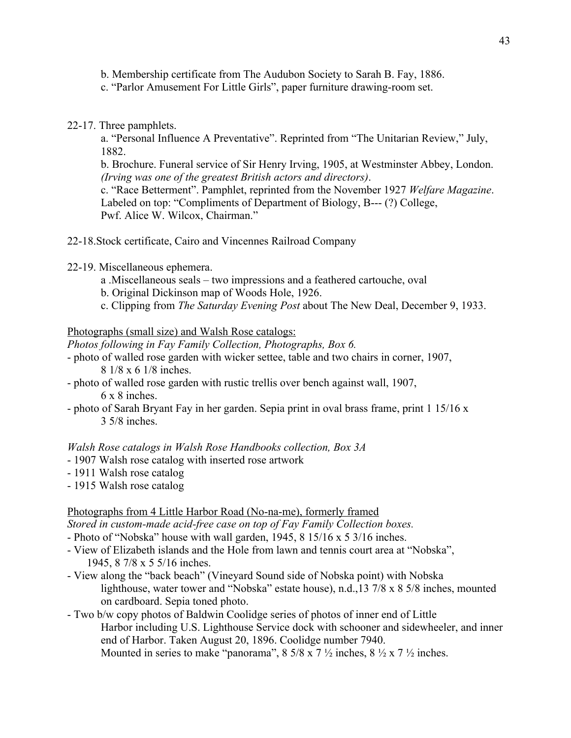- b. Membership certificate from The Audubon Society to Sarah B. Fay, 1886.
- c. "Parlor Amusement For Little Girls", paper furniture drawing-room set.
- 22-17. Three pamphlets.

a. "Personal Influence A Preventative". Reprinted from "The Unitarian Review," July, 1882.

b. Brochure. Funeral service of Sir Henry Irving, 1905, at Westminster Abbey, London.  *(Irving was one of the greatest British actors and directors)*.

c. "Race Betterment". Pamphlet, reprinted from the November 1927 *Welfare Magazine*. Labeled on top: "Compliments of Department of Biology, B--- (?) College, Pwf. Alice W. Wilcox, Chairman."

- 22-18.Stock certificate, Cairo and Vincennes Railroad Company
- 22-19. Miscellaneous ephemera.
	- a .Miscellaneous seals two impressions and a feathered cartouche, oval
	- b. Original Dickinson map of Woods Hole, 1926.
	- c. Clipping from *The Saturday Evening Post* about The New Deal, December 9, 1933.

Photographs (small size) and Walsh Rose catalogs:

*Photos following in Fay Family Collection, Photographs, Box 6.*

- photo of walled rose garden with wicker settee, table and two chairs in corner, 1907, 8 1/8 x 6 1/8 inches.
- photo of walled rose garden with rustic trellis over bench against wall, 1907, 6 x 8 inches.
- photo of Sarah Bryant Fay in her garden. Sepia print in oval brass frame, print 1 15/16 x 3 5/8 inches.

*Walsh Rose catalogs in Walsh Rose Handbooks collection, Box 3A*

- 1907 Walsh rose catalog with inserted rose artwork
- 1911 Walsh rose catalog
- 1915 Walsh rose catalog

#### Photographs from 4 Little Harbor Road (No-na-me), formerly framed

*Stored in custom-made acid-free case on top of Fay Family Collection boxes.*

- Photo of "Nobska" house with wall garden, 1945, 8 15/16 x 5 3/16 inches.
- View of Elizabeth islands and the Hole from lawn and tennis court area at "Nobska", 1945, 8 7/8 x 5 5/16 inches.
- View along the "back beach" (Vineyard Sound side of Nobska point) with Nobska lighthouse, water tower and "Nobska" estate house), n.d.,13 7/8 x 8 5/8 inches, mounted on cardboard. Sepia toned photo.
- Two b/w copy photos of Baldwin Coolidge series of photos of inner end of Little Harbor including U.S. Lighthouse Service dock with schooner and sidewheeler, and inner end of Harbor. Taken August 20, 1896. Coolidge number 7940. Mounted in series to make "panorama",  $8\frac{5}{8} \times 7\frac{1}{2}$  inches,  $8\frac{1}{2} \times 7\frac{1}{2}$  inches.